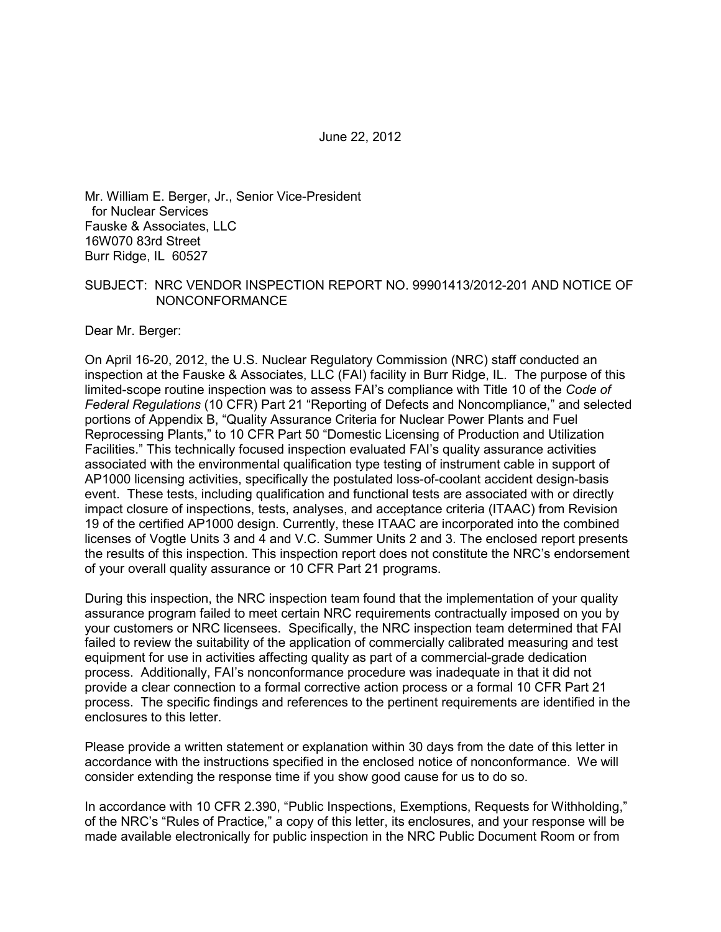June 22, 2012

Mr. William E. Berger, Jr., Senior Vice-President for Nuclear Services Fauske & Associates, LLC 16W070 83rd Street Burr Ridge, IL 60527

#### SUBJECT: NRC VENDOR INSPECTION REPORT NO. 99901413/2012-201 AND NOTICE OF NONCONFORMANCE

Dear Mr. Berger:

On April 16-20, 2012, the U.S. Nuclear Regulatory Commission (NRC) staff conducted an inspection at the Fauske & Associates, LLC (FAI) facility in Burr Ridge, IL. The purpose of this limited-scope routine inspection was to assess FAI's compliance with Title 10 of the *Code of Federal Regulations* (10 CFR) Part 21 "Reporting of Defects and Noncompliance," and selected portions of Appendix B, "Quality Assurance Criteria for Nuclear Power Plants and Fuel Reprocessing Plants," to 10 CFR Part 50 "Domestic Licensing of Production and Utilization Facilities." This technically focused inspection evaluated FAI's quality assurance activities associated with the environmental qualification type testing of instrument cable in support of AP1000 licensing activities, specifically the postulated loss-of-coolant accident design-basis event. These tests, including qualification and functional tests are associated with or directly impact closure of inspections, tests, analyses, and acceptance criteria (ITAAC) from Revision 19 of the certified AP1000 design. Currently, these ITAAC are incorporated into the combined licenses of Vogtle Units 3 and 4 and V.C. Summer Units 2 and 3. The enclosed report presents the results of this inspection. This inspection report does not constitute the NRC's endorsement of your overall quality assurance or 10 CFR Part 21 programs.

During this inspection, the NRC inspection team found that the implementation of your quality assurance program failed to meet certain NRC requirements contractually imposed on you by your customers or NRC licensees. Specifically, the NRC inspection team determined that FAI failed to review the suitability of the application of commercially calibrated measuring and test equipment for use in activities affecting quality as part of a commercial-grade dedication process. Additionally, FAI's nonconformance procedure was inadequate in that it did not provide a clear connection to a formal corrective action process or a formal 10 CFR Part 21 process. The specific findings and references to the pertinent requirements are identified in the enclosures to this letter.

Please provide a written statement or explanation within 30 days from the date of this letter in accordance with the instructions specified in the enclosed notice of nonconformance. We will consider extending the response time if you show good cause for us to do so.

In accordance with 10 CFR 2.390, "Public Inspections, Exemptions, Requests for Withholding," of the NRC's "Rules of Practice," a copy of this letter, its enclosures, and your response will be made available electronically for public inspection in the NRC Public Document Room or from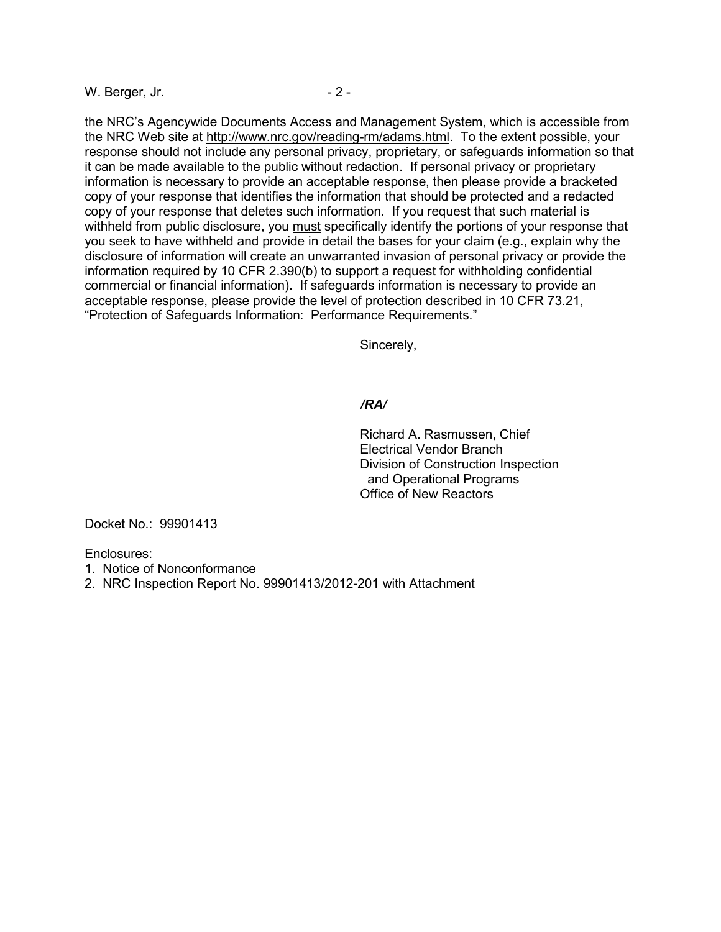W. Berger, Jr.  $\sim$  2 -

the NRC's Agencywide Documents Access and Management System, which is accessible from the NRC Web site at http://www.nrc.gov/reading-rm/adams.html. To the extent possible, your response should not include any personal privacy, proprietary, or safeguards information so that it can be made available to the public without redaction. If personal privacy or proprietary information is necessary to provide an acceptable response, then please provide a bracketed copy of your response that identifies the information that should be protected and a redacted copy of your response that deletes such information. If you request that such material is withheld from public disclosure, you must specifically identify the portions of your response that you seek to have withheld and provide in detail the bases for your claim (e.g., explain why the disclosure of information will create an unwarranted invasion of personal privacy or provide the information required by 10 CFR 2.390(b) to support a request for withholding confidential commercial or financial information). If safeguards information is necessary to provide an acceptable response, please provide the level of protection described in 10 CFR 73.21, "Protection of Safeguards Information: Performance Requirements."

Sincerely,

### */RA/*

Richard A. Rasmussen, Chief Electrical Vendor Branch Division of Construction Inspection and Operational Programs Office of New Reactors

Docket No.: 99901413

Enclosures:

- 1. Notice of Nonconformance
- 2. NRC Inspection Report No. 99901413/2012-201 with Attachment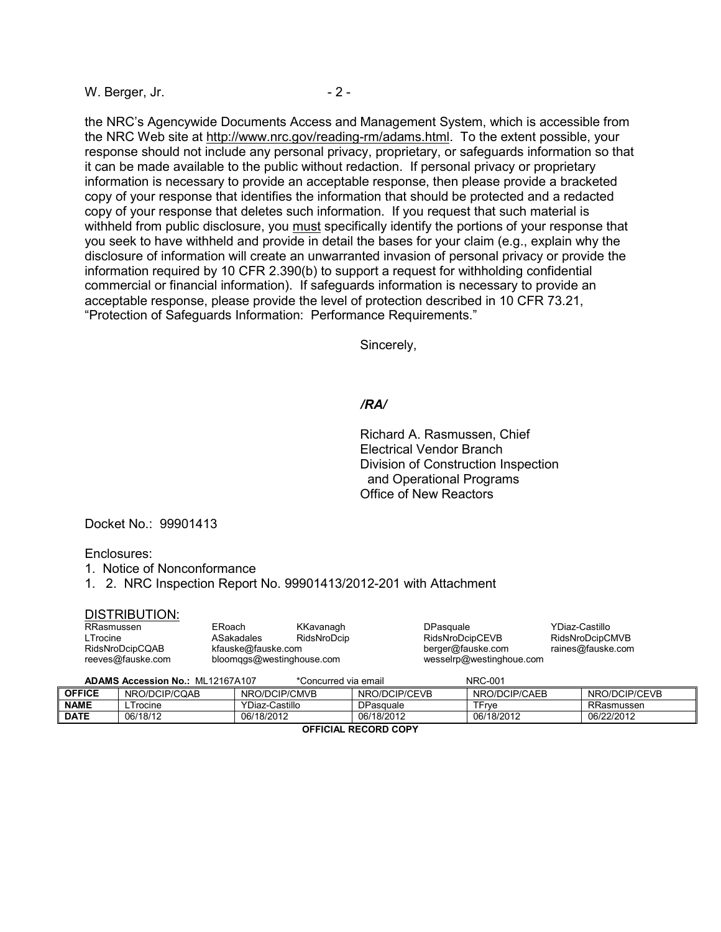W. Berger, Jr.  $\sim$  2 -

the NRC's Agencywide Documents Access and Management System, which is accessible from the NRC Web site at http://www.nrc.gov/reading-rm/adams.html. To the extent possible, your response should not include any personal privacy, proprietary, or safeguards information so that it can be made available to the public without redaction. If personal privacy or proprietary information is necessary to provide an acceptable response, then please provide a bracketed copy of your response that identifies the information that should be protected and a redacted copy of your response that deletes such information. If you request that such material is withheld from public disclosure, you must specifically identify the portions of your response that you seek to have withheld and provide in detail the bases for your claim (e.g., explain why the disclosure of information will create an unwarranted invasion of personal privacy or provide the information required by 10 CFR 2.390(b) to support a request for withholding confidential commercial or financial information). If safeguards information is necessary to provide an acceptable response, please provide the level of protection described in 10 CFR 73.21, "Protection of Safeguards Information: Performance Requirements."

Sincerely,

#### */RA/*

Richard A. Rasmussen, Chief Electrical Vendor Branch Division of Construction Inspection and Operational Programs Office of New Reactors

Docket No.: 99901413

#### Enclosures:

- 1. Notice of Nonconformance
- 1. 2. NRC Inspection Report No. 99901413/2012-201 with Attachment

#### DISTRIBUTION:

| RRasmussen        | ERoach                    | KKavanagh   | DPasquale                | YDiaz-Castillo    |
|-------------------|---------------------------|-------------|--------------------------|-------------------|
| ∟Trocine          | ASakadales                | RidsNroDcip | RidsNroDcipCEVB          | RidsNroDcipCMVB   |
| RidsNroDcipCQAB   | kfauske@fauske.com        |             | berger@fauske.com        | raines@fauske.com |
| reeves@fauske.com | bloomggs@westinghouse.com |             | wesselrp@westinghoue.com |                   |

**ADAMS Accession No.:** ML12167A107 \*Concurred via email NRC-001

| <b>OFFICE</b><br><b>NAME</b> | NRO/DCIP/CQAB<br><b>rocine</b> | NRO/DCIP/CMVB<br>YDiaz-Castillo | NRO/DCIP/CEVB<br><b>DPasquale</b> | NRO/DCIP/CAEB<br>TFrve | NRO/DCIP/CEVB<br>RRasmussen |
|------------------------------|--------------------------------|---------------------------------|-----------------------------------|------------------------|-----------------------------|
| <b>DATE</b>                  | 06/18/12                       | 06/18/2012                      | 06/18/2012                        | 06/18/2012             | 06/22/2012                  |
| <b>OCCICIAL BECOBB COBV</b>  |                                |                                 |                                   |                        |                             |

**OFFICIAL RECORD COPY**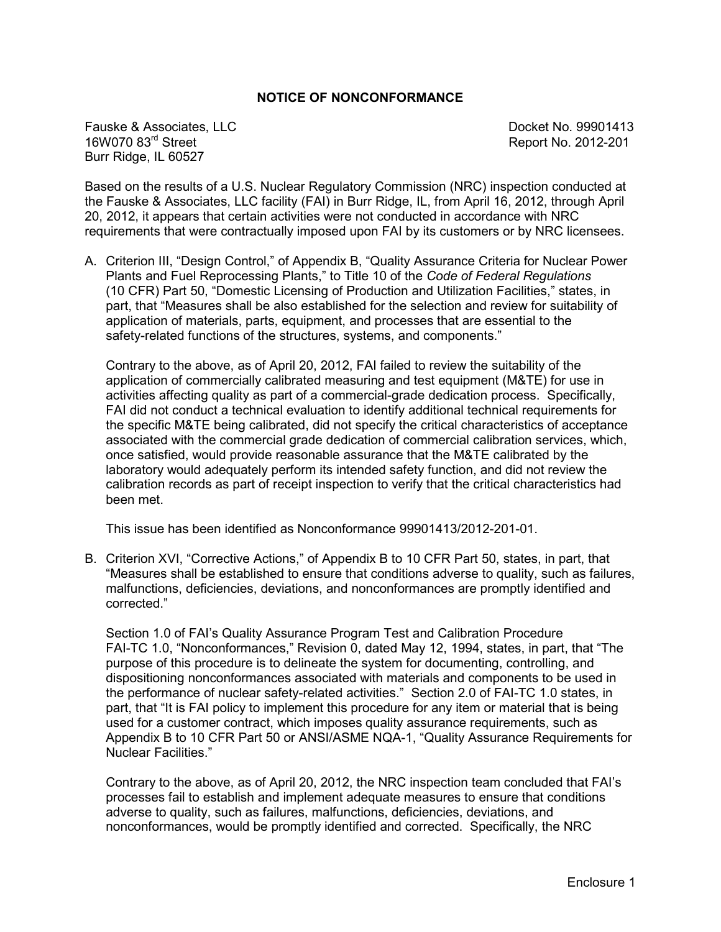#### **NOTICE OF NONCONFORMANCE**

Fauske & Associates, LLC<br>16W070 83<sup>rd</sup> Street 10. 2012-201 Burr Ridge, IL 60527

Report No. 2012-201

Based on the results of a U.S. Nuclear Regulatory Commission (NRC) inspection conducted at the Fauske & Associates, LLC facility (FAI) in Burr Ridge, IL, from April 16, 2012, through April 20, 2012, it appears that certain activities were not conducted in accordance with NRC requirements that were contractually imposed upon FAI by its customers or by NRC licensees.

A. Criterion III, "Design Control," of Appendix B, "Quality Assurance Criteria for Nuclear Power Plants and Fuel Reprocessing Plants," to Title 10 of the *Code of Federal Regulations* (10 CFR) Part 50, "Domestic Licensing of Production and Utilization Facilities," states, in part, that "Measures shall be also established for the selection and review for suitability of application of materials, parts, equipment, and processes that are essential to the safety-related functions of the structures, systems, and components."

Contrary to the above, as of April 20, 2012, FAI failed to review the suitability of the application of commercially calibrated measuring and test equipment (M&TE) for use in activities affecting quality as part of a commercial-grade dedication process. Specifically, FAI did not conduct a technical evaluation to identify additional technical requirements for the specific M&TE being calibrated, did not specify the critical characteristics of acceptance associated with the commercial grade dedication of commercial calibration services, which, once satisfied, would provide reasonable assurance that the M&TE calibrated by the laboratory would adequately perform its intended safety function, and did not review the calibration records as part of receipt inspection to verify that the critical characteristics had been met.

This issue has been identified as Nonconformance 99901413/2012-201-01.

B. Criterion XVI, "Corrective Actions," of Appendix B to 10 CFR Part 50, states, in part, that "Measures shall be established to ensure that conditions adverse to quality, such as failures, malfunctions, deficiencies, deviations, and nonconformances are promptly identified and corrected."

Section 1.0 of FAI's Quality Assurance Program Test and Calibration Procedure FAI-TC 1.0, "Nonconformances," Revision 0, dated May 12, 1994, states, in part, that "The purpose of this procedure is to delineate the system for documenting, controlling, and dispositioning nonconformances associated with materials and components to be used in the performance of nuclear safety-related activities." Section 2.0 of FAI-TC 1.0 states, in part, that "It is FAI policy to implement this procedure for any item or material that is being used for a customer contract, which imposes quality assurance requirements, such as Appendix B to 10 CFR Part 50 or ANSI/ASME NQA-1, "Quality Assurance Requirements for Nuclear Facilities."

Contrary to the above, as of April 20, 2012, the NRC inspection team concluded that FAI's processes fail to establish and implement adequate measures to ensure that conditions adverse to quality, such as failures, malfunctions, deficiencies, deviations, and nonconformances, would be promptly identified and corrected. Specifically, the NRC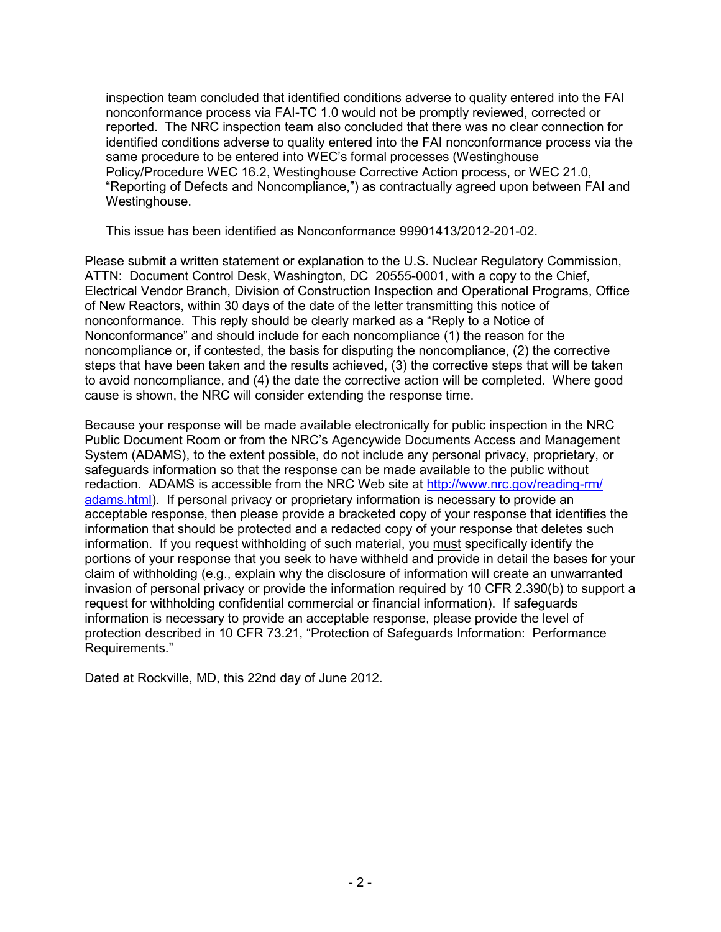inspection team concluded that identified conditions adverse to quality entered into the FAI nonconformance process via FAI-TC 1.0 would not be promptly reviewed, corrected or reported. The NRC inspection team also concluded that there was no clear connection for identified conditions adverse to quality entered into the FAI nonconformance process via the same procedure to be entered into WEC's formal processes (Westinghouse Policy/Procedure WEC 16.2, Westinghouse Corrective Action process, or WEC 21.0, "Reporting of Defects and Noncompliance,") as contractually agreed upon between FAI and Westinghouse.

This issue has been identified as Nonconformance 99901413/2012-201-02.

Please submit a written statement or explanation to the U.S. Nuclear Regulatory Commission, ATTN: Document Control Desk, Washington, DC 20555-0001, with a copy to the Chief, Electrical Vendor Branch, Division of Construction Inspection and Operational Programs, Office of New Reactors, within 30 days of the date of the letter transmitting this notice of nonconformance. This reply should be clearly marked as a "Reply to a Notice of Nonconformance" and should include for each noncompliance (1) the reason for the noncompliance or, if contested, the basis for disputing the noncompliance, (2) the corrective steps that have been taken and the results achieved, (3) the corrective steps that will be taken to avoid noncompliance, and (4) the date the corrective action will be completed. Where good cause is shown, the NRC will consider extending the response time.

Because your response will be made available electronically for public inspection in the NRC Public Document Room or from the NRC's Agencywide Documents Access and Management System (ADAMS), to the extent possible, do not include any personal privacy, proprietary, or safeguards information so that the response can be made available to the public without redaction. ADAMS is accessible from the NRC Web site at http://www.nrc.gov/reading-rm/ adams.html). If personal privacy or proprietary information is necessary to provide an acceptable response, then please provide a bracketed copy of your response that identifies the information that should be protected and a redacted copy of your response that deletes such information. If you request withholding of such material, you must specifically identify the portions of your response that you seek to have withheld and provide in detail the bases for your claim of withholding (e.g., explain why the disclosure of information will create an unwarranted invasion of personal privacy or provide the information required by 10 CFR 2.390(b) to support a request for withholding confidential commercial or financial information). If safeguards information is necessary to provide an acceptable response, please provide the level of protection described in 10 CFR 73.21, "Protection of Safeguards Information: Performance Requirements."

Dated at Rockville, MD, this 22nd day of June 2012.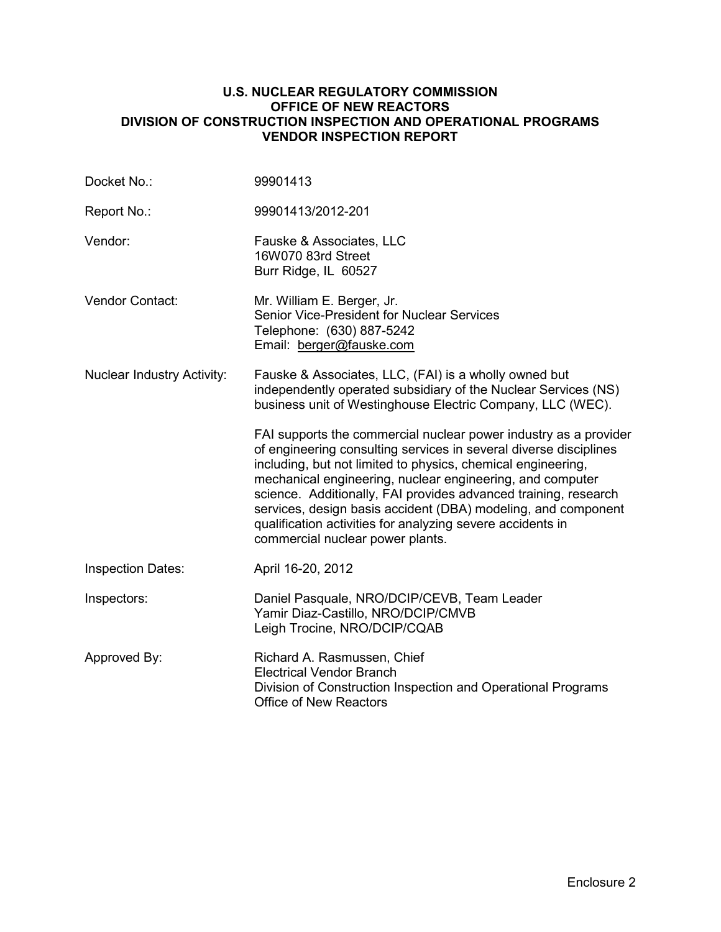### **U.S. NUCLEAR REGULATORY COMMISSION OFFICE OF NEW REACTORS DIVISION OF CONSTRUCTION INSPECTION AND OPERATIONAL PROGRAMS VENDOR INSPECTION REPORT**

| Docket No.:                       | 99901413                                                                                                                                                                                                                                                                                                                                                                                                                                                                                                 |
|-----------------------------------|----------------------------------------------------------------------------------------------------------------------------------------------------------------------------------------------------------------------------------------------------------------------------------------------------------------------------------------------------------------------------------------------------------------------------------------------------------------------------------------------------------|
| Report No.:                       | 99901413/2012-201                                                                                                                                                                                                                                                                                                                                                                                                                                                                                        |
| Vendor:                           | Fauske & Associates, LLC<br>16W070 83rd Street<br>Burr Ridge, IL 60527                                                                                                                                                                                                                                                                                                                                                                                                                                   |
| Vendor Contact:                   | Mr. William E. Berger, Jr.<br><b>Senior Vice-President for Nuclear Services</b><br>Telephone: (630) 887-5242<br>Email: berger@fauske.com                                                                                                                                                                                                                                                                                                                                                                 |
| <b>Nuclear Industry Activity:</b> | Fauske & Associates, LLC, (FAI) is a wholly owned but<br>independently operated subsidiary of the Nuclear Services (NS)<br>business unit of Westinghouse Electric Company, LLC (WEC).                                                                                                                                                                                                                                                                                                                    |
|                                   | FAI supports the commercial nuclear power industry as a provider<br>of engineering consulting services in several diverse disciplines<br>including, but not limited to physics, chemical engineering,<br>mechanical engineering, nuclear engineering, and computer<br>science. Additionally, FAI provides advanced training, research<br>services, design basis accident (DBA) modeling, and component<br>qualification activities for analyzing severe accidents in<br>commercial nuclear power plants. |
| <b>Inspection Dates:</b>          | April 16-20, 2012                                                                                                                                                                                                                                                                                                                                                                                                                                                                                        |
| Inspectors:                       | Daniel Pasquale, NRO/DCIP/CEVB, Team Leader<br>Yamir Diaz-Castillo, NRO/DCIP/CMVB<br>Leigh Trocine, NRO/DCIP/CQAB                                                                                                                                                                                                                                                                                                                                                                                        |
| Approved By:                      | Richard A. Rasmussen, Chief<br><b>Electrical Vendor Branch</b><br>Division of Construction Inspection and Operational Programs<br><b>Office of New Reactors</b>                                                                                                                                                                                                                                                                                                                                          |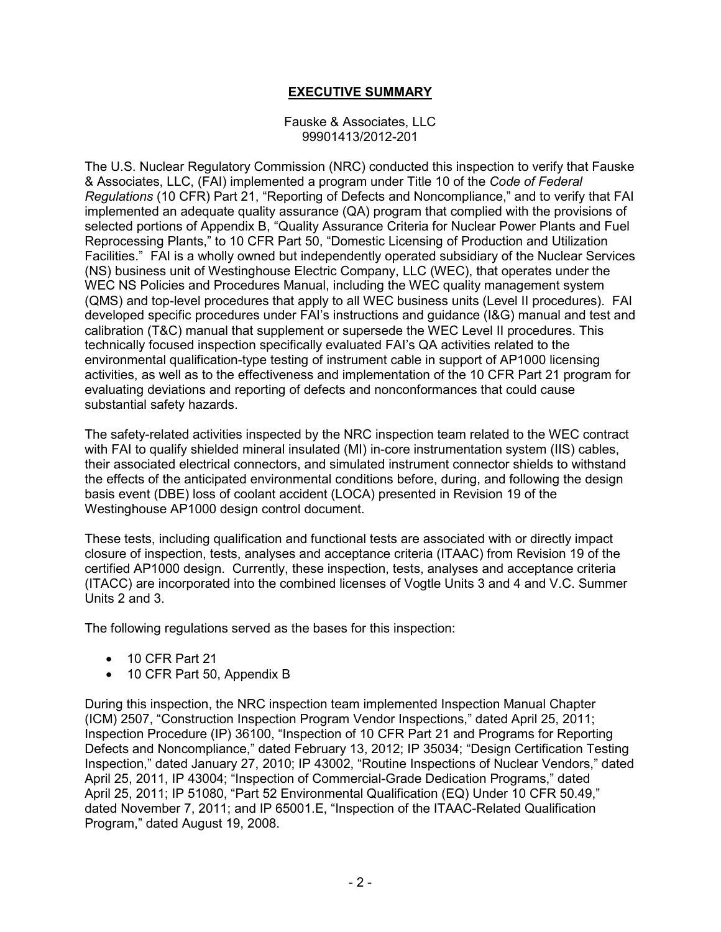# **EXECUTIVE SUMMARY**

#### Fauske & Associates, LLC 99901413/2012-201

The U.S. Nuclear Regulatory Commission (NRC) conducted this inspection to verify that Fauske & Associates, LLC, (FAI) implemented a program under Title 10 of the *Code of Federal Regulations* (10 CFR) Part 21, "Reporting of Defects and Noncompliance," and to verify that FAI implemented an adequate quality assurance (QA) program that complied with the provisions of selected portions of Appendix B, "Quality Assurance Criteria for Nuclear Power Plants and Fuel Reprocessing Plants," to 10 CFR Part 50, "Domestic Licensing of Production and Utilization Facilities." FAI is a wholly owned but independently operated subsidiary of the Nuclear Services (NS) business unit of Westinghouse Electric Company, LLC (WEC), that operates under the WEC NS Policies and Procedures Manual, including the WEC quality management system (QMS) and top-level procedures that apply to all WEC business units (Level II procedures). FAI developed specific procedures under FAI's instructions and guidance (I&G) manual and test and calibration (T&C) manual that supplement or supersede the WEC Level II procedures. This technically focused inspection specifically evaluated FAI's QA activities related to the environmental qualification-type testing of instrument cable in support of AP1000 licensing activities, as well as to the effectiveness and implementation of the 10 CFR Part 21 program for evaluating deviations and reporting of defects and nonconformances that could cause substantial safety hazards.

The safety-related activities inspected by the NRC inspection team related to the WEC contract with FAI to qualify shielded mineral insulated (MI) in-core instrumentation system (IIS) cables, their associated electrical connectors, and simulated instrument connector shields to withstand the effects of the anticipated environmental conditions before, during, and following the design basis event (DBE) loss of coolant accident (LOCA) presented in Revision 19 of the Westinghouse AP1000 design control document.

These tests, including qualification and functional tests are associated with or directly impact closure of inspection, tests, analyses and acceptance criteria (ITAAC) from Revision 19 of the certified AP1000 design. Currently, these inspection, tests, analyses and acceptance criteria (ITACC) are incorporated into the combined licenses of Vogtle Units 3 and 4 and V.C. Summer Units 2 and 3.

The following regulations served as the bases for this inspection:

- 10 CFR Part 21
- 10 CFR Part 50, Appendix B

During this inspection, the NRC inspection team implemented Inspection Manual Chapter (ICM) 2507, "Construction Inspection Program Vendor Inspections," dated April 25, 2011; Inspection Procedure (IP) 36100, "Inspection of 10 CFR Part 21 and Programs for Reporting Defects and Noncompliance," dated February 13, 2012; IP 35034; "Design Certification Testing Inspection," dated January 27, 2010; IP 43002, "Routine Inspections of Nuclear Vendors," dated April 25, 2011, IP 43004; "Inspection of Commercial-Grade Dedication Programs," dated April 25, 2011; IP 51080, "Part 52 Environmental Qualification (EQ) Under 10 CFR 50.49," dated November 7, 2011; and IP 65001.E, "Inspection of the ITAAC-Related Qualification Program," dated August 19, 2008.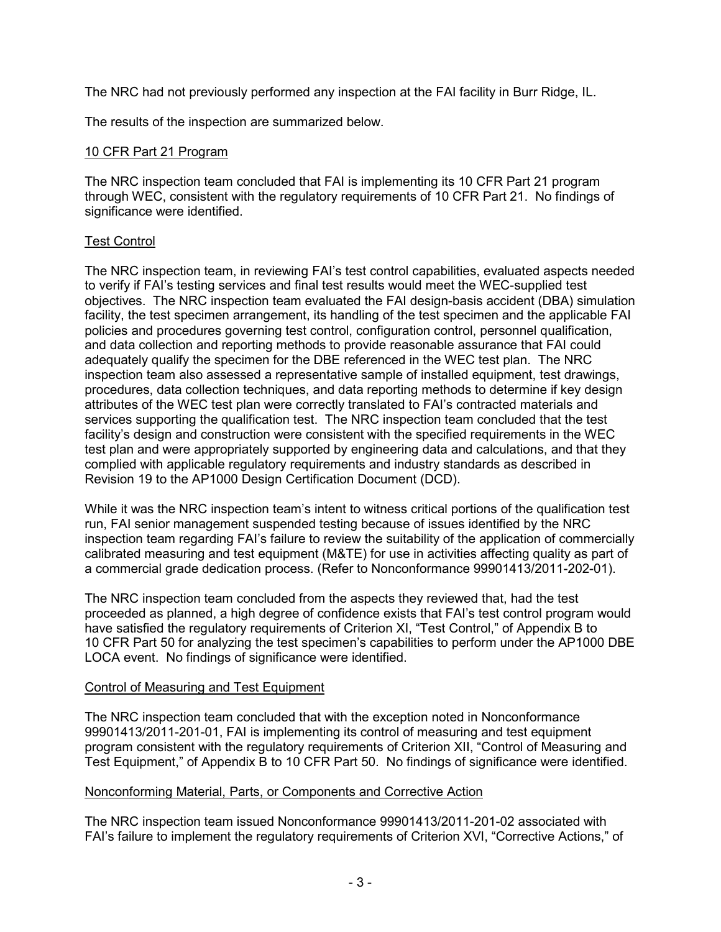The NRC had not previously performed any inspection at the FAI facility in Burr Ridge, IL.

The results of the inspection are summarized below.

### 10 CFR Part 21 Program

The NRC inspection team concluded that FAI is implementing its 10 CFR Part 21 program through WEC, consistent with the regulatory requirements of 10 CFR Part 21. No findings of significance were identified.

## Test Control

The NRC inspection team, in reviewing FAI's test control capabilities, evaluated aspects needed to verify if FAI's testing services and final test results would meet the WEC-supplied test objectives. The NRC inspection team evaluated the FAI design-basis accident (DBA) simulation facility, the test specimen arrangement, its handling of the test specimen and the applicable FAI policies and procedures governing test control, configuration control, personnel qualification, and data collection and reporting methods to provide reasonable assurance that FAI could adequately qualify the specimen for the DBE referenced in the WEC test plan. The NRC inspection team also assessed a representative sample of installed equipment, test drawings, procedures, data collection techniques, and data reporting methods to determine if key design attributes of the WEC test plan were correctly translated to FAI's contracted materials and services supporting the qualification test. The NRC inspection team concluded that the test facility's design and construction were consistent with the specified requirements in the WEC test plan and were appropriately supported by engineering data and calculations, and that they complied with applicable regulatory requirements and industry standards as described in Revision 19 to the AP1000 Design Certification Document (DCD).

While it was the NRC inspection team's intent to witness critical portions of the qualification test run, FAI senior management suspended testing because of issues identified by the NRC inspection team regarding FAI's failure to review the suitability of the application of commercially calibrated measuring and test equipment (M&TE) for use in activities affecting quality as part of a commercial grade dedication process. (Refer to Nonconformance 99901413/2011-202-01).

The NRC inspection team concluded from the aspects they reviewed that, had the test proceeded as planned, a high degree of confidence exists that FAI's test control program would have satisfied the regulatory requirements of Criterion XI, "Test Control," of Appendix B to 10 CFR Part 50 for analyzing the test specimen's capabilities to perform under the AP1000 DBE LOCA event. No findings of significance were identified.

### Control of Measuring and Test Equipment

The NRC inspection team concluded that with the exception noted in Nonconformance 99901413/2011-201-01, FAI is implementing its control of measuring and test equipment program consistent with the regulatory requirements of Criterion XII, "Control of Measuring and Test Equipment," of Appendix B to 10 CFR Part 50. No findings of significance were identified.

# Nonconforming Material, Parts, or Components and Corrective Action

The NRC inspection team issued Nonconformance 99901413/2011-201-02 associated with FAI's failure to implement the regulatory requirements of Criterion XVI, "Corrective Actions," of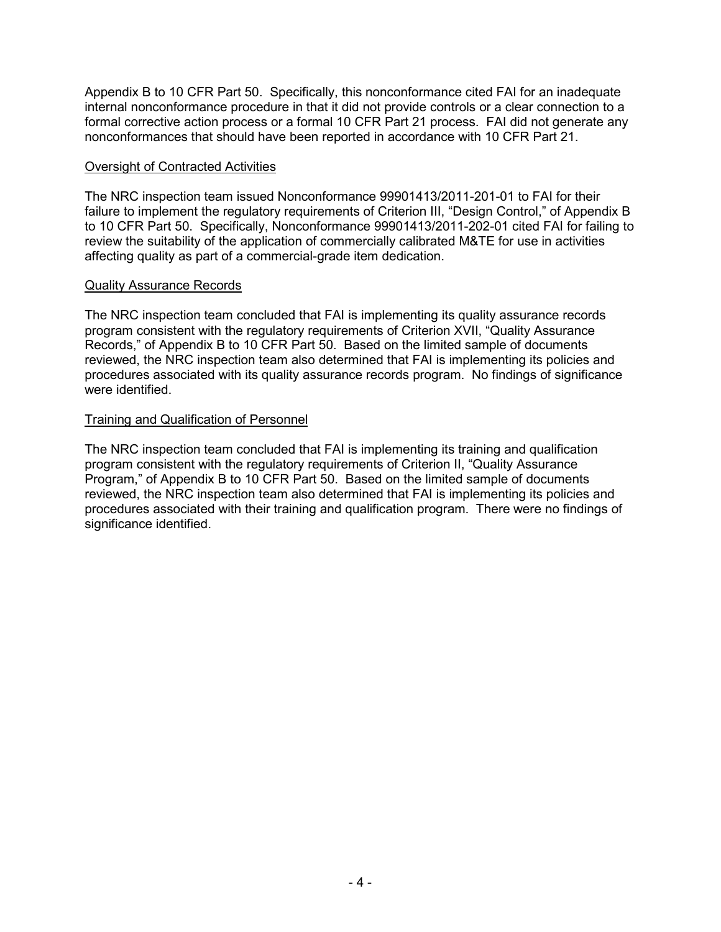Appendix B to 10 CFR Part 50. Specifically, this nonconformance cited FAI for an inadequate internal nonconformance procedure in that it did not provide controls or a clear connection to a formal corrective action process or a formal 10 CFR Part 21 process. FAI did not generate any nonconformances that should have been reported in accordance with 10 CFR Part 21.

### Oversight of Contracted Activities

The NRC inspection team issued Nonconformance 99901413/2011-201-01 to FAI for their failure to implement the regulatory requirements of Criterion III, "Design Control," of Appendix B to 10 CFR Part 50. Specifically, Nonconformance 99901413/2011-202-01 cited FAI for failing to review the suitability of the application of commercially calibrated M&TE for use in activities affecting quality as part of a commercial-grade item dedication.

### Quality Assurance Records

The NRC inspection team concluded that FAI is implementing its quality assurance records program consistent with the regulatory requirements of Criterion XVII, "Quality Assurance Records," of Appendix B to 10 CFR Part 50. Based on the limited sample of documents reviewed, the NRC inspection team also determined that FAI is implementing its policies and procedures associated with its quality assurance records program. No findings of significance were identified.

### Training and Qualification of Personnel

The NRC inspection team concluded that FAI is implementing its training and qualification program consistent with the regulatory requirements of Criterion II, "Quality Assurance Program," of Appendix B to 10 CFR Part 50. Based on the limited sample of documents reviewed, the NRC inspection team also determined that FAI is implementing its policies and procedures associated with their training and qualification program. There were no findings of significance identified.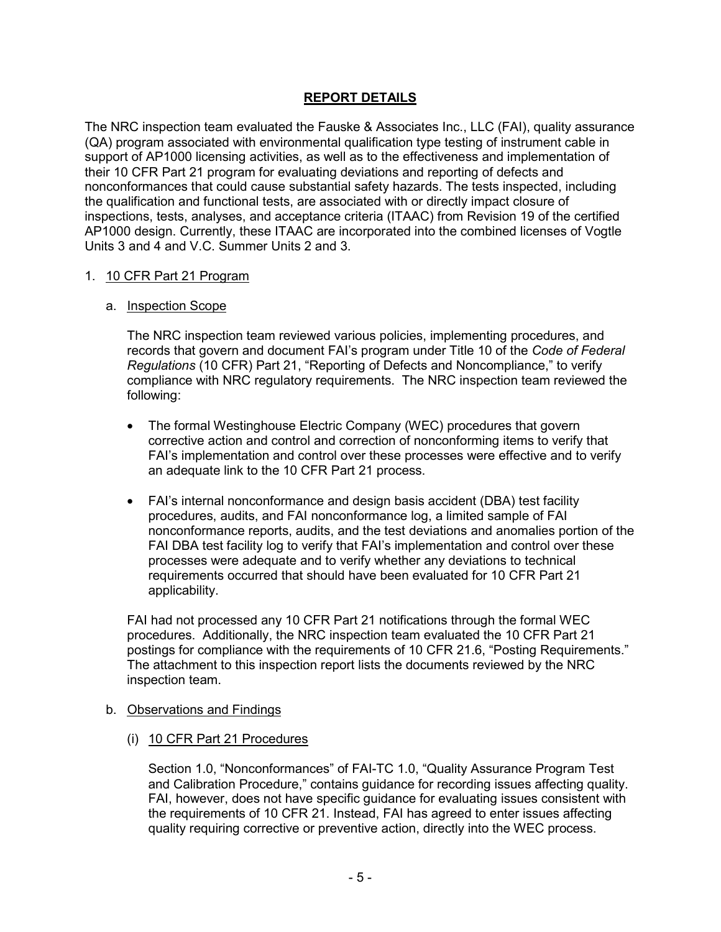## **REPORT DETAILS**

The NRC inspection team evaluated the Fauske & Associates Inc., LLC (FAI), quality assurance (QA) program associated with environmental qualification type testing of instrument cable in support of AP1000 licensing activities, as well as to the effectiveness and implementation of their 10 CFR Part 21 program for evaluating deviations and reporting of defects and nonconformances that could cause substantial safety hazards. The tests inspected, including the qualification and functional tests, are associated with or directly impact closure of inspections, tests, analyses, and acceptance criteria (ITAAC) from Revision 19 of the certified AP1000 design. Currently, these ITAAC are incorporated into the combined licenses of Vogtle Units 3 and 4 and V.C. Summer Units 2 and 3.

### 1. 10 CFR Part 21 Program

### a. Inspection Scope

The NRC inspection team reviewed various policies, implementing procedures, and records that govern and document FAI's program under Title 10 of the *Code of Federal Regulations* (10 CFR) Part 21, "Reporting of Defects and Noncompliance," to verify compliance with NRC regulatory requirements. The NRC inspection team reviewed the following:

- The formal Westinghouse Electric Company (WEC) procedures that govern corrective action and control and correction of nonconforming items to verify that FAI's implementation and control over these processes were effective and to verify an adequate link to the 10 CFR Part 21 process.
- FAI's internal nonconformance and design basis accident (DBA) test facility procedures, audits, and FAI nonconformance log, a limited sample of FAI nonconformance reports, audits, and the test deviations and anomalies portion of the FAI DBA test facility log to verify that FAI's implementation and control over these processes were adequate and to verify whether any deviations to technical requirements occurred that should have been evaluated for 10 CFR Part 21 applicability.

FAI had not processed any 10 CFR Part 21 notifications through the formal WEC procedures. Additionally, the NRC inspection team evaluated the 10 CFR Part 21 postings for compliance with the requirements of 10 CFR 21.6, "Posting Requirements." The attachment to this inspection report lists the documents reviewed by the NRC inspection team.

#### b. Observations and Findings

(i) 10 CFR Part 21 Procedures

Section 1.0, "Nonconformances" of FAI-TC 1.0, "Quality Assurance Program Test and Calibration Procedure," contains guidance for recording issues affecting quality. FAI, however, does not have specific guidance for evaluating issues consistent with the requirements of 10 CFR 21. Instead, FAI has agreed to enter issues affecting quality requiring corrective or preventive action, directly into the WEC process.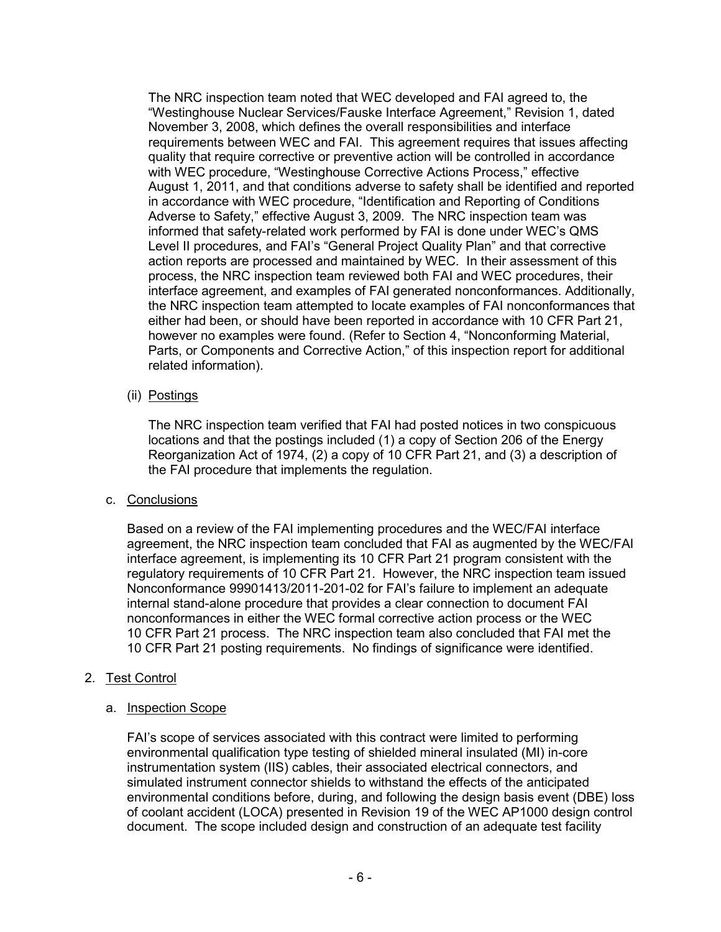The NRC inspection team noted that WEC developed and FAI agreed to, the "Westinghouse Nuclear Services/Fauske Interface Agreement," Revision 1, dated November 3, 2008, which defines the overall responsibilities and interface requirements between WEC and FAI. This agreement requires that issues affecting quality that require corrective or preventive action will be controlled in accordance with WEC procedure, "Westinghouse Corrective Actions Process," effective August 1, 2011, and that conditions adverse to safety shall be identified and reported in accordance with WEC procedure, "Identification and Reporting of Conditions Adverse to Safety," effective August 3, 2009. The NRC inspection team was informed that safety-related work performed by FAI is done under WEC's QMS Level II procedures, and FAI's "General Project Quality Plan" and that corrective action reports are processed and maintained by WEC. In their assessment of this process, the NRC inspection team reviewed both FAI and WEC procedures, their interface agreement, and examples of FAI generated nonconformances. Additionally, the NRC inspection team attempted to locate examples of FAI nonconformances that either had been, or should have been reported in accordance with 10 CFR Part 21, however no examples were found. (Refer to Section 4, "Nonconforming Material, Parts, or Components and Corrective Action," of this inspection report for additional related information).

## (ii) Postings

The NRC inspection team verified that FAI had posted notices in two conspicuous locations and that the postings included (1) a copy of Section 206 of the Energy Reorganization Act of 1974, (2) a copy of 10 CFR Part 21, and (3) a description of the FAI procedure that implements the regulation.

### c. Conclusions

Based on a review of the FAI implementing procedures and the WEC/FAI interface agreement, the NRC inspection team concluded that FAI as augmented by the WEC/FAI interface agreement, is implementing its 10 CFR Part 21 program consistent with the regulatory requirements of 10 CFR Part 21. However, the NRC inspection team issued Nonconformance 99901413/2011-201-02 for FAI's failure to implement an adequate internal stand-alone procedure that provides a clear connection to document FAI nonconformances in either the WEC formal corrective action process or the WEC 10 CFR Part 21 process. The NRC inspection team also concluded that FAI met the 10 CFR Part 21 posting requirements. No findings of significance were identified.

# 2. Test Control

### a. Inspection Scope

FAI's scope of services associated with this contract were limited to performing environmental qualification type testing of shielded mineral insulated (MI) in-core instrumentation system (IIS) cables, their associated electrical connectors, and simulated instrument connector shields to withstand the effects of the anticipated environmental conditions before, during, and following the design basis event (DBE) loss of coolant accident (LOCA) presented in Revision 19 of the WEC AP1000 design control document. The scope included design and construction of an adequate test facility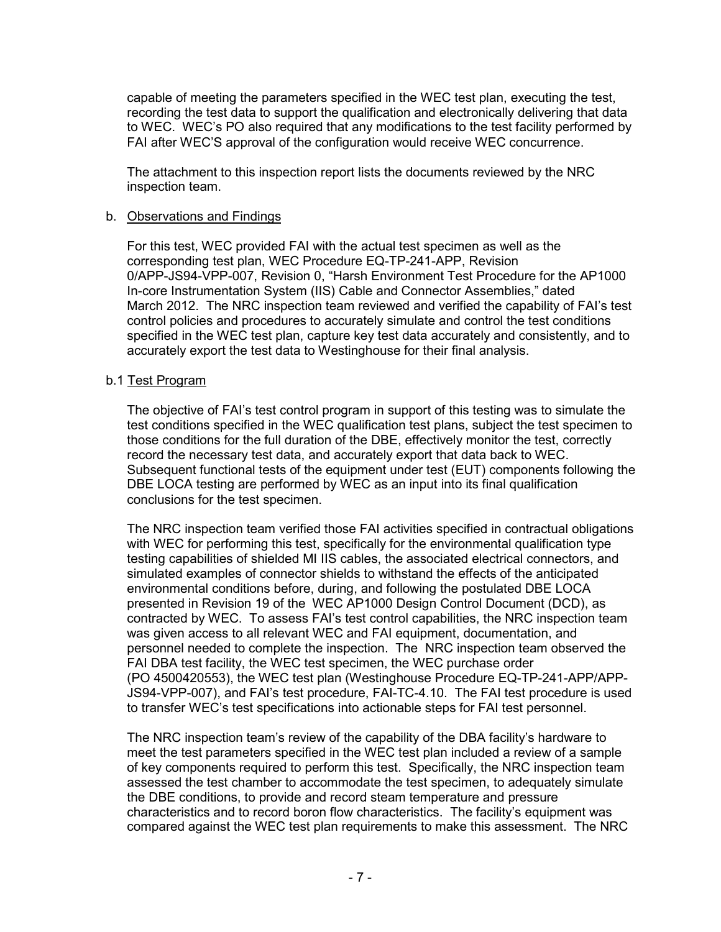capable of meeting the parameters specified in the WEC test plan, executing the test, recording the test data to support the qualification and electronically delivering that data to WEC. WEC's PO also required that any modifications to the test facility performed by FAI after WEC'S approval of the configuration would receive WEC concurrence.

The attachment to this inspection report lists the documents reviewed by the NRC inspection team.

#### b. Observations and Findings

For this test, WEC provided FAI with the actual test specimen as well as the corresponding test plan, WEC Procedure EQ-TP-241-APP, Revision 0/APP-JS94-VPP-007, Revision 0, "Harsh Environment Test Procedure for the AP1000 In-core Instrumentation System (IIS) Cable and Connector Assemblies," dated March 2012. The NRC inspection team reviewed and verified the capability of FAI's test control policies and procedures to accurately simulate and control the test conditions specified in the WEC test plan, capture key test data accurately and consistently, and to accurately export the test data to Westinghouse for their final analysis.

### b.1 Test Program

The objective of FAI's test control program in support of this testing was to simulate the test conditions specified in the WEC qualification test plans, subject the test specimen to those conditions for the full duration of the DBE, effectively monitor the test, correctly record the necessary test data, and accurately export that data back to WEC. Subsequent functional tests of the equipment under test (EUT) components following the DBE LOCA testing are performed by WEC as an input into its final qualification conclusions for the test specimen.

The NRC inspection team verified those FAI activities specified in contractual obligations with WEC for performing this test, specifically for the environmental qualification type testing capabilities of shielded MI IIS cables, the associated electrical connectors, and simulated examples of connector shields to withstand the effects of the anticipated environmental conditions before, during, and following the postulated DBE LOCA presented in Revision 19 of the WEC AP1000 Design Control Document (DCD), as contracted by WEC. To assess FAI's test control capabilities, the NRC inspection team was given access to all relevant WEC and FAI equipment, documentation, and personnel needed to complete the inspection. The NRC inspection team observed the FAI DBA test facility, the WEC test specimen, the WEC purchase order (PO 4500420553), the WEC test plan (Westinghouse Procedure EQ-TP-241-APP/APP-JS94-VPP-007), and FAI's test procedure, FAI-TC-4.10. The FAI test procedure is used to transfer WEC's test specifications into actionable steps for FAI test personnel.

The NRC inspection team's review of the capability of the DBA facility's hardware to meet the test parameters specified in the WEC test plan included a review of a sample of key components required to perform this test. Specifically, the NRC inspection team assessed the test chamber to accommodate the test specimen, to adequately simulate the DBE conditions, to provide and record steam temperature and pressure characteristics and to record boron flow characteristics. The facility's equipment was compared against the WEC test plan requirements to make this assessment. The NRC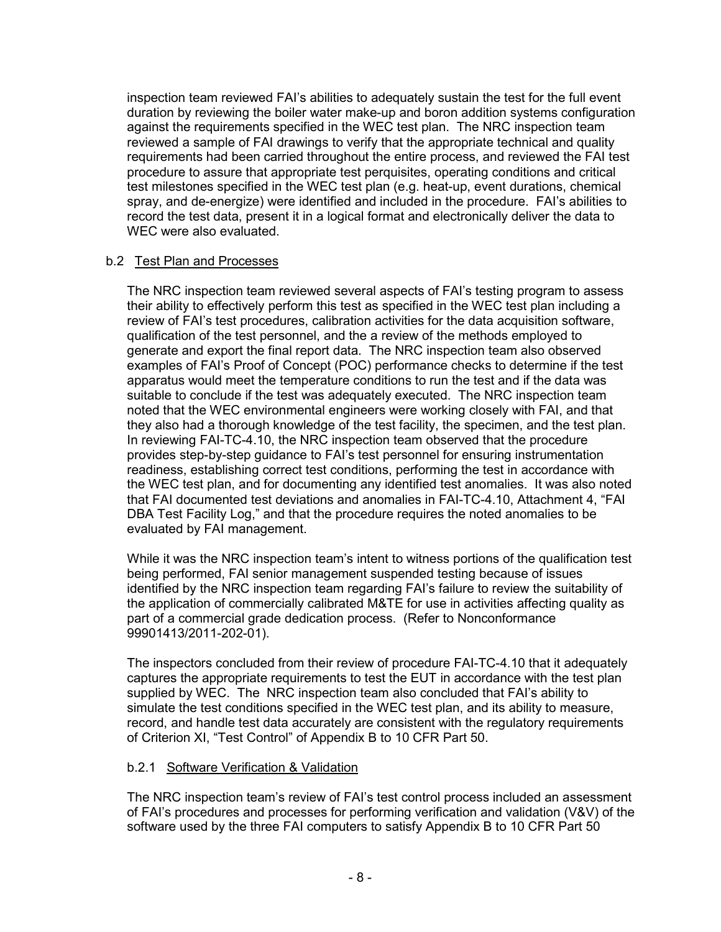inspection team reviewed FAI's abilities to adequately sustain the test for the full event duration by reviewing the boiler water make-up and boron addition systems configuration against the requirements specified in the WEC test plan. The NRC inspection team reviewed a sample of FAI drawings to verify that the appropriate technical and quality requirements had been carried throughout the entire process, and reviewed the FAI test procedure to assure that appropriate test perquisites, operating conditions and critical test milestones specified in the WEC test plan (e.g. heat-up, event durations, chemical spray, and de-energize) were identified and included in the procedure. FAI's abilities to record the test data, present it in a logical format and electronically deliver the data to WEC were also evaluated.

## b.2 Test Plan and Processes

The NRC inspection team reviewed several aspects of FAI's testing program to assess their ability to effectively perform this test as specified in the WEC test plan including a review of FAI's test procedures, calibration activities for the data acquisition software, qualification of the test personnel, and the a review of the methods employed to generate and export the final report data. The NRC inspection team also observed examples of FAI's Proof of Concept (POC) performance checks to determine if the test apparatus would meet the temperature conditions to run the test and if the data was suitable to conclude if the test was adequately executed. The NRC inspection team noted that the WEC environmental engineers were working closely with FAI, and that they also had a thorough knowledge of the test facility, the specimen, and the test plan. In reviewing FAI-TC-4.10, the NRC inspection team observed that the procedure provides step-by-step guidance to FAI's test personnel for ensuring instrumentation readiness, establishing correct test conditions, performing the test in accordance with the WEC test plan, and for documenting any identified test anomalies. It was also noted that FAI documented test deviations and anomalies in FAI-TC-4.10, Attachment 4, "FAI DBA Test Facility Log," and that the procedure requires the noted anomalies to be evaluated by FAI management.

While it was the NRC inspection team's intent to witness portions of the qualification test being performed, FAI senior management suspended testing because of issues identified by the NRC inspection team regarding FAI's failure to review the suitability of the application of commercially calibrated M&TE for use in activities affecting quality as part of a commercial grade dedication process. (Refer to Nonconformance 99901413/2011-202-01).

The inspectors concluded from their review of procedure FAI-TC-4.10 that it adequately captures the appropriate requirements to test the EUT in accordance with the test plan supplied by WEC. The NRC inspection team also concluded that FAI's ability to simulate the test conditions specified in the WEC test plan, and its ability to measure, record, and handle test data accurately are consistent with the regulatory requirements of Criterion XI, "Test Control" of Appendix B to 10 CFR Part 50.

### b.2.1 Software Verification & Validation

The NRC inspection team's review of FAI's test control process included an assessment of FAI's procedures and processes for performing verification and validation (V&V) of the software used by the three FAI computers to satisfy Appendix B to 10 CFR Part 50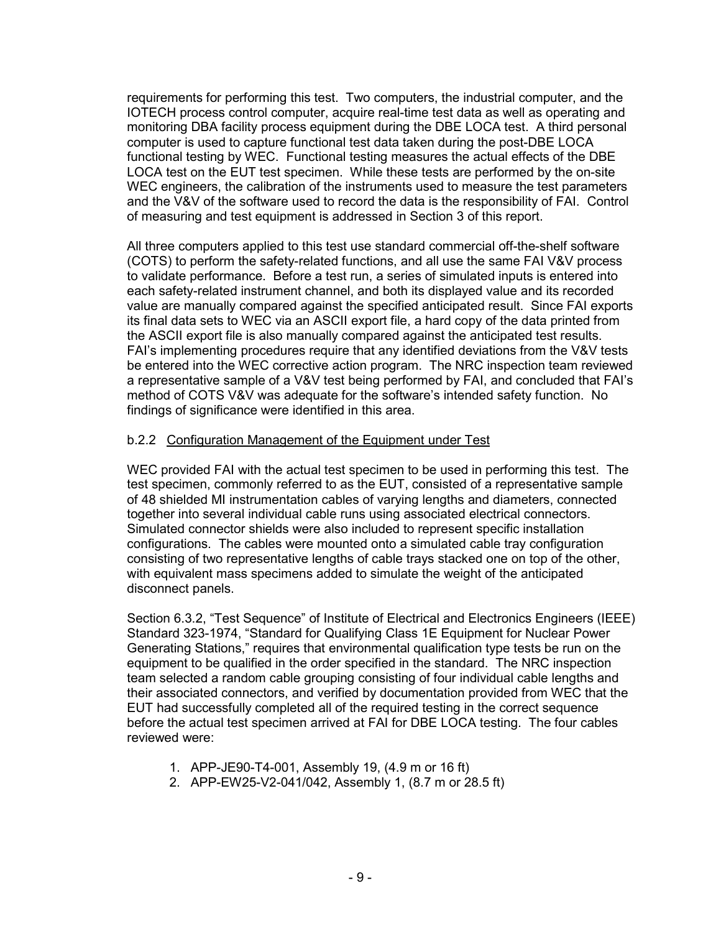requirements for performing this test. Two computers, the industrial computer, and the IOTECH process control computer, acquire real-time test data as well as operating and monitoring DBA facility process equipment during the DBE LOCA test. A third personal computer is used to capture functional test data taken during the post-DBE LOCA functional testing by WEC. Functional testing measures the actual effects of the DBE LOCA test on the EUT test specimen. While these tests are performed by the on-site WEC engineers, the calibration of the instruments used to measure the test parameters and the V&V of the software used to record the data is the responsibility of FAI. Control of measuring and test equipment is addressed in Section 3 of this report.

All three computers applied to this test use standard commercial off-the-shelf software (COTS) to perform the safety-related functions, and all use the same FAI V&V process to validate performance. Before a test run, a series of simulated inputs is entered into each safety-related instrument channel, and both its displayed value and its recorded value are manually compared against the specified anticipated result. Since FAI exports its final data sets to WEC via an ASCII export file, a hard copy of the data printed from the ASCII export file is also manually compared against the anticipated test results. FAI's implementing procedures require that any identified deviations from the V&V tests be entered into the WEC corrective action program. The NRC inspection team reviewed a representative sample of a V&V test being performed by FAI, and concluded that FAI's method of COTS V&V was adequate for the software's intended safety function. No findings of significance were identified in this area.

### b.2.2 Configuration Management of the Equipment under Test

WEC provided FAI with the actual test specimen to be used in performing this test. The test specimen, commonly referred to as the EUT, consisted of a representative sample of 48 shielded MI instrumentation cables of varying lengths and diameters, connected together into several individual cable runs using associated electrical connectors. Simulated connector shields were also included to represent specific installation configurations. The cables were mounted onto a simulated cable tray configuration consisting of two representative lengths of cable trays stacked one on top of the other, with equivalent mass specimens added to simulate the weight of the anticipated disconnect panels.

Section 6.3.2, "Test Sequence" of Institute of Electrical and Electronics Engineers (IEEE) Standard 323-1974, "Standard for Qualifying Class 1E Equipment for Nuclear Power Generating Stations," requires that environmental qualification type tests be run on the equipment to be qualified in the order specified in the standard. The NRC inspection team selected a random cable grouping consisting of four individual cable lengths and their associated connectors, and verified by documentation provided from WEC that the EUT had successfully completed all of the required testing in the correct sequence before the actual test specimen arrived at FAI for DBE LOCA testing. The four cables reviewed were:

- 1. APP-JE90-T4-001, Assembly 19, (4.9 m or 16 ft)
- 2. APP-EW25-V2-041/042, Assembly 1, (8.7 m or 28.5 ft)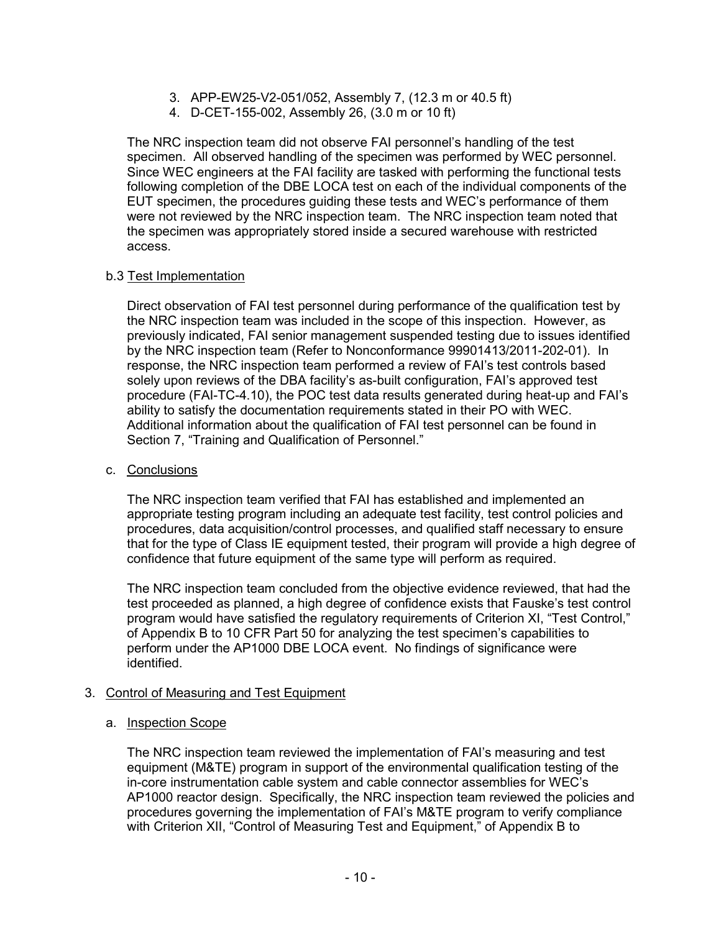- 3. APP-EW25-V2-051/052, Assembly 7, (12.3 m or 40.5 ft)
- 4. D-CET-155-002, Assembly 26, (3.0 m or 10 ft)

The NRC inspection team did not observe FAI personnel's handling of the test specimen. All observed handling of the specimen was performed by WEC personnel. Since WEC engineers at the FAI facility are tasked with performing the functional tests following completion of the DBE LOCA test on each of the individual components of the EUT specimen, the procedures guiding these tests and WEC's performance of them were not reviewed by the NRC inspection team. The NRC inspection team noted that the specimen was appropriately stored inside a secured warehouse with restricted access.

### b.3 Test Implementation

Direct observation of FAI test personnel during performance of the qualification test by the NRC inspection team was included in the scope of this inspection. However, as previously indicated, FAI senior management suspended testing due to issues identified by the NRC inspection team (Refer to Nonconformance 99901413/2011-202-01). In response, the NRC inspection team performed a review of FAI's test controls based solely upon reviews of the DBA facility's as-built configuration, FAI's approved test procedure (FAI-TC-4.10), the POC test data results generated during heat-up and FAI's ability to satisfy the documentation requirements stated in their PO with WEC. Additional information about the qualification of FAI test personnel can be found in Section 7, "Training and Qualification of Personnel."

#### c. Conclusions

The NRC inspection team verified that FAI has established and implemented an appropriate testing program including an adequate test facility, test control policies and procedures, data acquisition/control processes, and qualified staff necessary to ensure that for the type of Class IE equipment tested, their program will provide a high degree of confidence that future equipment of the same type will perform as required.

The NRC inspection team concluded from the objective evidence reviewed, that had the test proceeded as planned, a high degree of confidence exists that Fauske's test control program would have satisfied the regulatory requirements of Criterion XI, "Test Control," of Appendix B to 10 CFR Part 50 for analyzing the test specimen's capabilities to perform under the AP1000 DBE LOCA event. No findings of significance were identified.

### 3. Control of Measuring and Test Equipment

### a. Inspection Scope

The NRC inspection team reviewed the implementation of FAI's measuring and test equipment (M&TE) program in support of the environmental qualification testing of the in-core instrumentation cable system and cable connector assemblies for WEC's AP1000 reactor design. Specifically, the NRC inspection team reviewed the policies and procedures governing the implementation of FAI's M&TE program to verify compliance with Criterion XII, "Control of Measuring Test and Equipment," of Appendix B to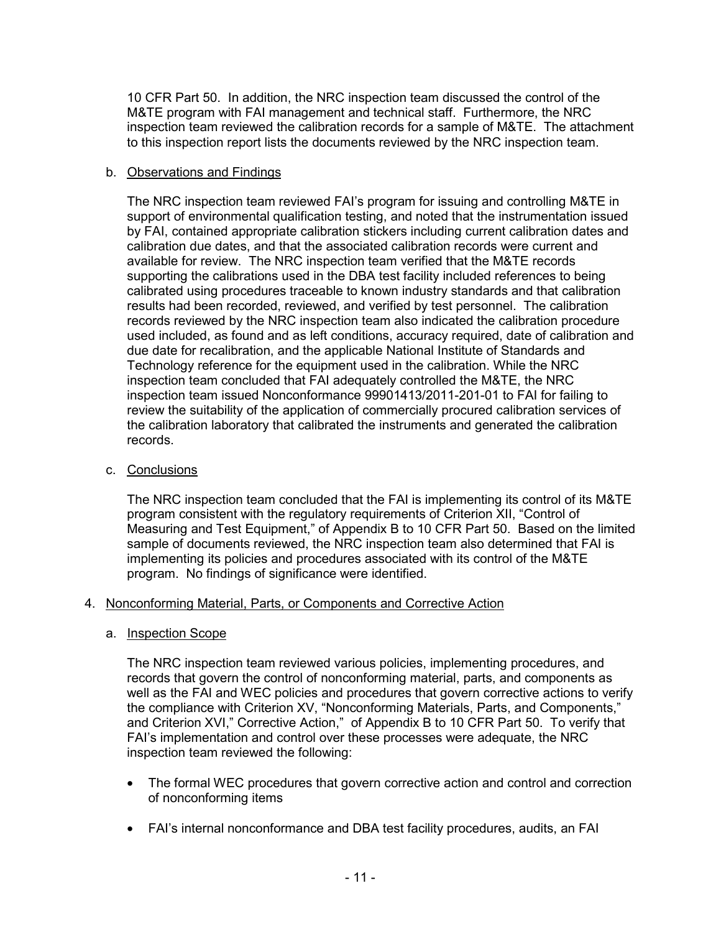10 CFR Part 50. In addition, the NRC inspection team discussed the control of the M&TE program with FAI management and technical staff. Furthermore, the NRC inspection team reviewed the calibration records for a sample of M&TE. The attachment to this inspection report lists the documents reviewed by the NRC inspection team.

### b. Observations and Findings

The NRC inspection team reviewed FAI's program for issuing and controlling M&TE in support of environmental qualification testing, and noted that the instrumentation issued by FAI, contained appropriate calibration stickers including current calibration dates and calibration due dates, and that the associated calibration records were current and available for review. The NRC inspection team verified that the M&TE records supporting the calibrations used in the DBA test facility included references to being calibrated using procedures traceable to known industry standards and that calibration results had been recorded, reviewed, and verified by test personnel. The calibration records reviewed by the NRC inspection team also indicated the calibration procedure used included, as found and as left conditions, accuracy required, date of calibration and due date for recalibration, and the applicable National Institute of Standards and Technology reference for the equipment used in the calibration. While the NRC inspection team concluded that FAI adequately controlled the M&TE, the NRC inspection team issued Nonconformance 99901413/2011-201-01 to FAI for failing to review the suitability of the application of commercially procured calibration services of the calibration laboratory that calibrated the instruments and generated the calibration records.

### c. Conclusions

The NRC inspection team concluded that the FAI is implementing its control of its M&TE program consistent with the regulatory requirements of Criterion XII, "Control of Measuring and Test Equipment," of Appendix B to 10 CFR Part 50. Based on the limited sample of documents reviewed, the NRC inspection team also determined that FAI is implementing its policies and procedures associated with its control of the M&TE program. No findings of significance were identified.

### 4. Nonconforming Material, Parts, or Components and Corrective Action

#### a. Inspection Scope

The NRC inspection team reviewed various policies, implementing procedures, and records that govern the control of nonconforming material, parts, and components as well as the FAI and WEC policies and procedures that govern corrective actions to verify the compliance with Criterion XV, "Nonconforming Materials, Parts, and Components," and Criterion XVI," Corrective Action," of Appendix B to 10 CFR Part 50. To verify that FAI's implementation and control over these processes were adequate, the NRC inspection team reviewed the following:

- The formal WEC procedures that govern corrective action and control and correction of nonconforming items
- FAI's internal nonconformance and DBA test facility procedures, audits, an FAI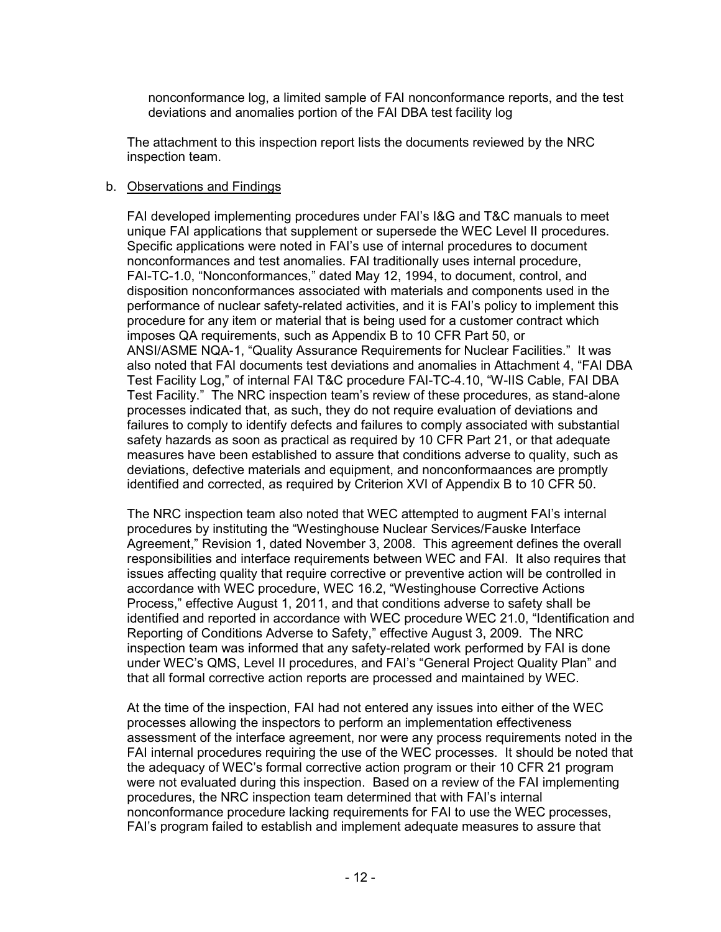nonconformance log, a limited sample of FAI nonconformance reports, and the test deviations and anomalies portion of the FAI DBA test facility log

The attachment to this inspection report lists the documents reviewed by the NRC inspection team.

#### b. Observations and Findings

FAI developed implementing procedures under FAI's I&G and T&C manuals to meet unique FAI applications that supplement or supersede the WEC Level II procedures. Specific applications were noted in FAI's use of internal procedures to document nonconformances and test anomalies. FAI traditionally uses internal procedure, FAI-TC-1.0, "Nonconformances," dated May 12, 1994, to document, control, and disposition nonconformances associated with materials and components used in the performance of nuclear safety-related activities, and it is FAI's policy to implement this procedure for any item or material that is being used for a customer contract which imposes QA requirements, such as Appendix B to 10 CFR Part 50, or ANSI/ASME NQA-1, "Quality Assurance Requirements for Nuclear Facilities." It was also noted that FAI documents test deviations and anomalies in Attachment 4, "FAI DBA Test Facility Log," of internal FAI T&C procedure FAI-TC-4.10, "W-IIS Cable, FAI DBA Test Facility." The NRC inspection team's review of these procedures, as stand-alone processes indicated that, as such, they do not require evaluation of deviations and failures to comply to identify defects and failures to comply associated with substantial safety hazards as soon as practical as required by 10 CFR Part 21, or that adequate measures have been established to assure that conditions adverse to quality, such as deviations, defective materials and equipment, and nonconformaances are promptly identified and corrected, as required by Criterion XVI of Appendix B to 10 CFR 50.

The NRC inspection team also noted that WEC attempted to augment FAI's internal procedures by instituting the "Westinghouse Nuclear Services/Fauske Interface Agreement," Revision 1, dated November 3, 2008. This agreement defines the overall responsibilities and interface requirements between WEC and FAI. It also requires that issues affecting quality that require corrective or preventive action will be controlled in accordance with WEC procedure, WEC 16.2, "Westinghouse Corrective Actions Process," effective August 1, 2011, and that conditions adverse to safety shall be identified and reported in accordance with WEC procedure WEC 21.0, "Identification and Reporting of Conditions Adverse to Safety," effective August 3, 2009. The NRC inspection team was informed that any safety-related work performed by FAI is done under WEC's QMS, Level II procedures, and FAI's "General Project Quality Plan" and that all formal corrective action reports are processed and maintained by WEC.

At the time of the inspection, FAI had not entered any issues into either of the WEC processes allowing the inspectors to perform an implementation effectiveness assessment of the interface agreement, nor were any process requirements noted in the FAI internal procedures requiring the use of the WEC processes. It should be noted that the adequacy of WEC's formal corrective action program or their 10 CFR 21 program were not evaluated during this inspection. Based on a review of the FAI implementing procedures, the NRC inspection team determined that with FAI's internal nonconformance procedure lacking requirements for FAI to use the WEC processes, FAI's program failed to establish and implement adequate measures to assure that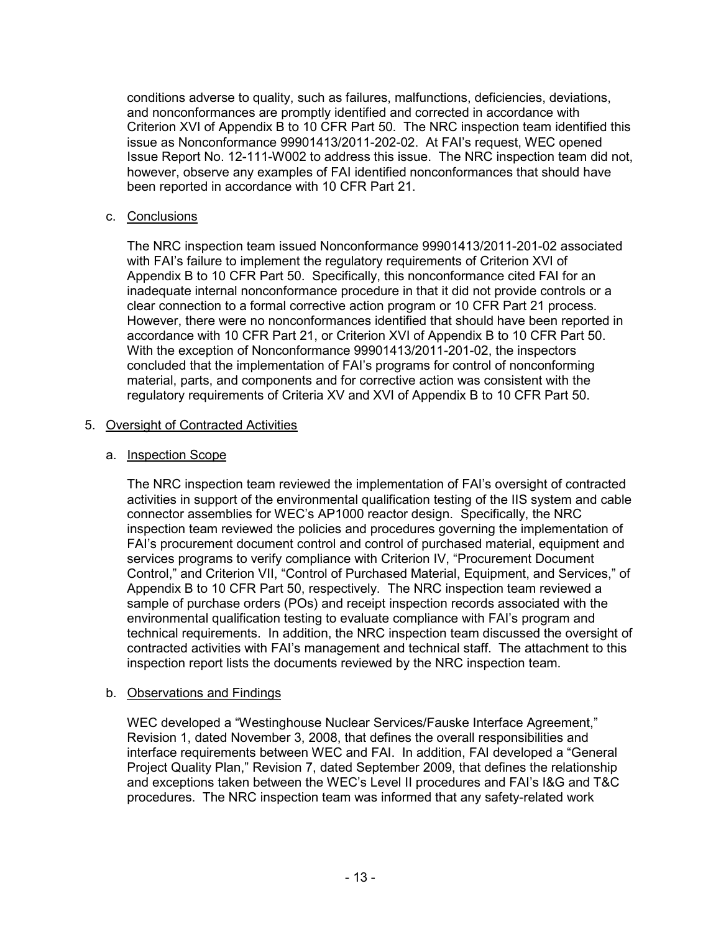conditions adverse to quality, such as failures, malfunctions, deficiencies, deviations, and nonconformances are promptly identified and corrected in accordance with Criterion XVI of Appendix B to 10 CFR Part 50. The NRC inspection team identified this issue as Nonconformance 99901413/2011-202-02. At FAI's request, WEC opened Issue Report No. 12-111-W002 to address this issue. The NRC inspection team did not, however, observe any examples of FAI identified nonconformances that should have been reported in accordance with 10 CFR Part 21.

### c. Conclusions

The NRC inspection team issued Nonconformance 99901413/2011-201-02 associated with FAI's failure to implement the regulatory requirements of Criterion XVI of Appendix B to 10 CFR Part 50. Specifically, this nonconformance cited FAI for an inadequate internal nonconformance procedure in that it did not provide controls or a clear connection to a formal corrective action program or 10 CFR Part 21 process. However, there were no nonconformances identified that should have been reported in accordance with 10 CFR Part 21, or Criterion XVI of Appendix B to 10 CFR Part 50. With the exception of Nonconformance 99901413/2011-201-02, the inspectors concluded that the implementation of FAI's programs for control of nonconforming material, parts, and components and for corrective action was consistent with the regulatory requirements of Criteria XV and XVI of Appendix B to 10 CFR Part 50.

### 5. Oversight of Contracted Activities

### a. Inspection Scope

The NRC inspection team reviewed the implementation of FAI's oversight of contracted activities in support of the environmental qualification testing of the IIS system and cable connector assemblies for WEC's AP1000 reactor design. Specifically, the NRC inspection team reviewed the policies and procedures governing the implementation of FAI's procurement document control and control of purchased material, equipment and services programs to verify compliance with Criterion IV, "Procurement Document Control," and Criterion VII, "Control of Purchased Material, Equipment, and Services," of Appendix B to 10 CFR Part 50, respectively. The NRC inspection team reviewed a sample of purchase orders (POs) and receipt inspection records associated with the environmental qualification testing to evaluate compliance with FAI's program and technical requirements. In addition, the NRC inspection team discussed the oversight of contracted activities with FAI's management and technical staff. The attachment to this inspection report lists the documents reviewed by the NRC inspection team.

### b. Observations and Findings

WEC developed a "Westinghouse Nuclear Services/Fauske Interface Agreement," Revision 1, dated November 3, 2008, that defines the overall responsibilities and interface requirements between WEC and FAI. In addition, FAI developed a "General Project Quality Plan," Revision 7, dated September 2009, that defines the relationship and exceptions taken between the WEC's Level II procedures and FAI's I&G and T&C procedures. The NRC inspection team was informed that any safety-related work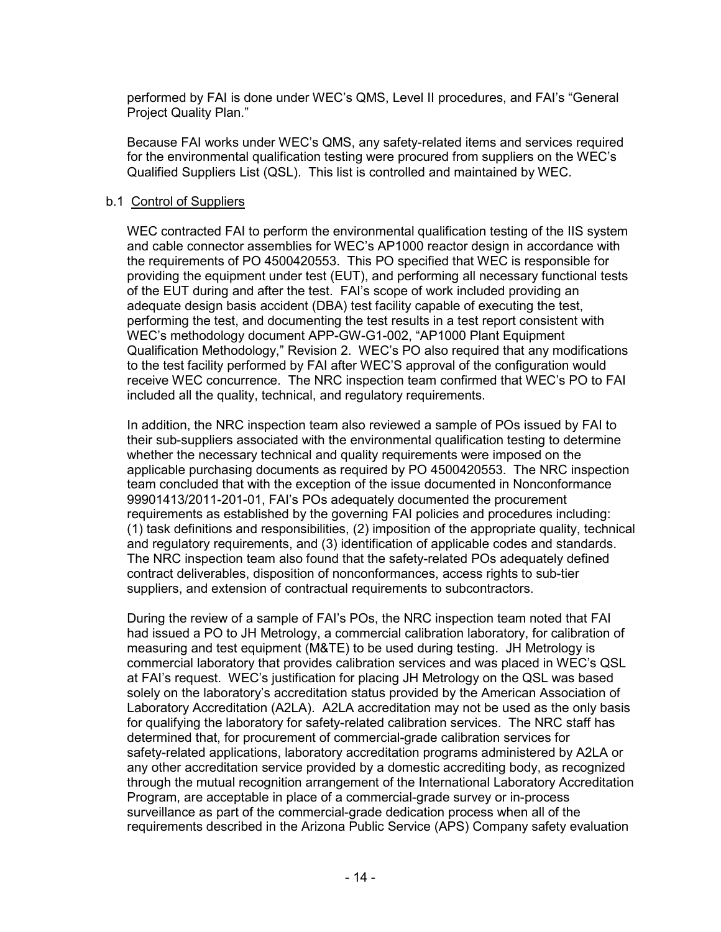performed by FAI is done under WEC's QMS, Level II procedures, and FAI's "General Project Quality Plan."

Because FAI works under WEC's QMS, any safety-related items and services required for the environmental qualification testing were procured from suppliers on the WEC's Qualified Suppliers List (QSL). This list is controlled and maintained by WEC.

### b.1 Control of Suppliers

WEC contracted FAI to perform the environmental qualification testing of the IIS system and cable connector assemblies for WEC's AP1000 reactor design in accordance with the requirements of PO 4500420553. This PO specified that WEC is responsible for providing the equipment under test (EUT), and performing all necessary functional tests of the EUT during and after the test. FAI's scope of work included providing an adequate design basis accident (DBA) test facility capable of executing the test, performing the test, and documenting the test results in a test report consistent with WEC's methodology document APP-GW-G1-002, "AP1000 Plant Equipment Qualification Methodology," Revision 2. WEC's PO also required that any modifications to the test facility performed by FAI after WEC'S approval of the configuration would receive WEC concurrence. The NRC inspection team confirmed that WEC's PO to FAI included all the quality, technical, and regulatory requirements.

In addition, the NRC inspection team also reviewed a sample of POs issued by FAI to their sub-suppliers associated with the environmental qualification testing to determine whether the necessary technical and quality requirements were imposed on the applicable purchasing documents as required by PO 4500420553. The NRC inspection team concluded that with the exception of the issue documented in Nonconformance 99901413/2011-201-01, FAI's POs adequately documented the procurement requirements as established by the governing FAI policies and procedures including: (1) task definitions and responsibilities, (2) imposition of the appropriate quality, technical and regulatory requirements, and (3) identification of applicable codes and standards. The NRC inspection team also found that the safety-related POs adequately defined contract deliverables, disposition of nonconformances, access rights to sub-tier suppliers, and extension of contractual requirements to subcontractors.

During the review of a sample of FAI's POs, the NRC inspection team noted that FAI had issued a PO to JH Metrology, a commercial calibration laboratory, for calibration of measuring and test equipment (M&TE) to be used during testing. JH Metrology is commercial laboratory that provides calibration services and was placed in WEC's QSL at FAI's request. WEC's justification for placing JH Metrology on the QSL was based solely on the laboratory's accreditation status provided by the American Association of Laboratory Accreditation (A2LA). A2LA accreditation may not be used as the only basis for qualifying the laboratory for safety-related calibration services. The NRC staff has determined that, for procurement of commercial-grade calibration services for safety-related applications, laboratory accreditation programs administered by A2LA or any other accreditation service provided by a domestic accrediting body, as recognized through the mutual recognition arrangement of the International Laboratory Accreditation Program, are acceptable in place of a commercial-grade survey or in-process surveillance as part of the commercial-grade dedication process when all of the requirements described in the Arizona Public Service (APS) Company safety evaluation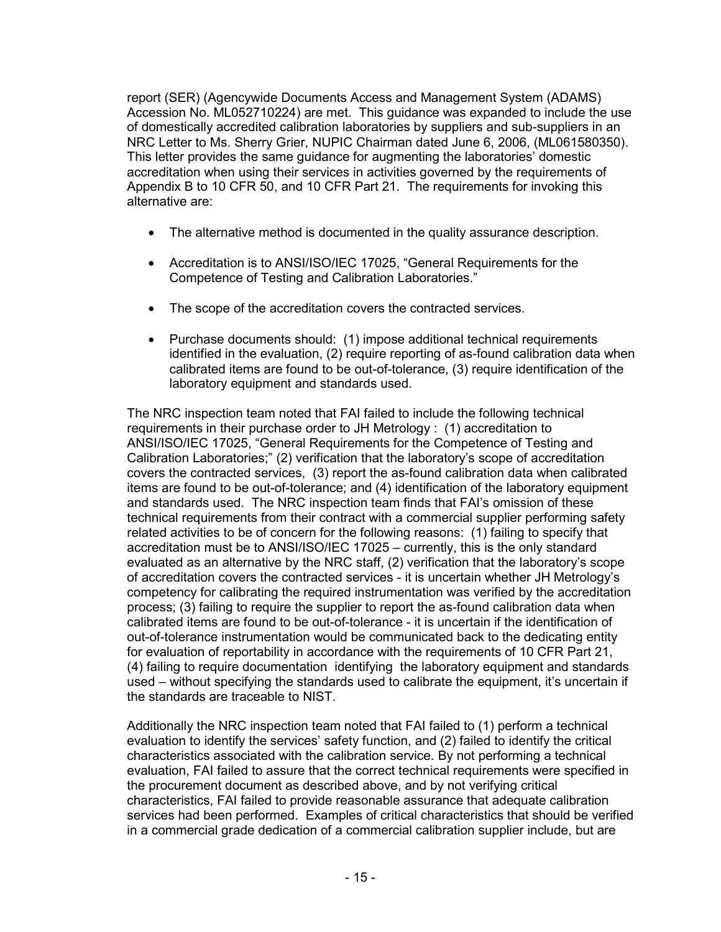report (SER) (Agencywide Documents Access and Management System (ADAMS) Accession No. ML052710224) are met. This guidance was expanded to include the use of domestically accredited calibration laboratories by suppliers and sub-suppliers in an NRC Letter to Ms. Sherry Grier, NUPIC Chairman dated June 6, 2006, (ML061580350). This letter provides the same guidance for augmenting the laboratories' domestic accreditation when using their services in activities governed by the requirements of Appendix B to 10 CFR 50, and 10 CFR Part 21. The requirements for invoking this alternative are:

- The alternative method is documented in the quality assurance description.
- Accreditation is to ANSI/ISO/IEC 17025, "General Requirements for the Competence of Testing and Calibration Laboratories."
- The scope of the accreditation covers the contracted services.
- Purchase documents should: (1) impose additional technical requirements identified in the evaluation, (2) require reporting of as-found calibration data when calibrated items are found to be out-of-tolerance, (3) require identification of the laboratory equipment and standards used.

The NRC inspection team noted that FAI failed to include the following technical requirements in their purchase order to JH Metrology : (1) accreditation to ANSI/ISO/IEC 17025, "General Requirements for the Competence of Testing and Calibration Laboratories;" (2) verification that the laboratory's scope of accreditation covers the contracted services, (3) report the as-found calibration data when calibrated items are found to be out-of-tolerance; and (4) identification of the laboratory equipment and standards used. The NRC inspection team finds that FAI's omission of these technical requirements from their contract with a commercial supplier performing safety related activities to be of concern for the following reasons: (1) failing to specify that accreditation must be to ANSI/ISO/IEC 17025 – currently, this is the only standard evaluated as an alternative by the NRC staff, (2) verification that the laboratory's scope of accreditation covers the contracted services - it is uncertain whether JH Metrology's competency for calibrating the required instrumentation was verified by the accreditation process; (3) failing to require the supplier to report the as-found calibration data when calibrated items are found to be out-of-tolerance - it is uncertain if the identification of out-of-tolerance instrumentation would be communicated back to the dedicating entity for evaluation of reportability in accordance with the requirements of 10 CFR Part 21, (4) failing to require documentation identifying the laboratory equipment and standards used – without specifying the standards used to calibrate the equipment, it's uncertain if the standards are traceable to NIST.

Additionally the NRC inspection team noted that FAI failed to (1) perform a technical evaluation to identify the services' safety function, and (2) failed to identify the critical characteristics associated with the calibration service. By not performing a technical evaluation, FAI failed to assure that the correct technical requirements were specified in the procurement document as described above, and by not verifying critical characteristics, FAI failed to provide reasonable assurance that adequate calibration services had been performed. Examples of critical characteristics that should be verified in a commercial grade dedication of a commercial calibration supplier include, but are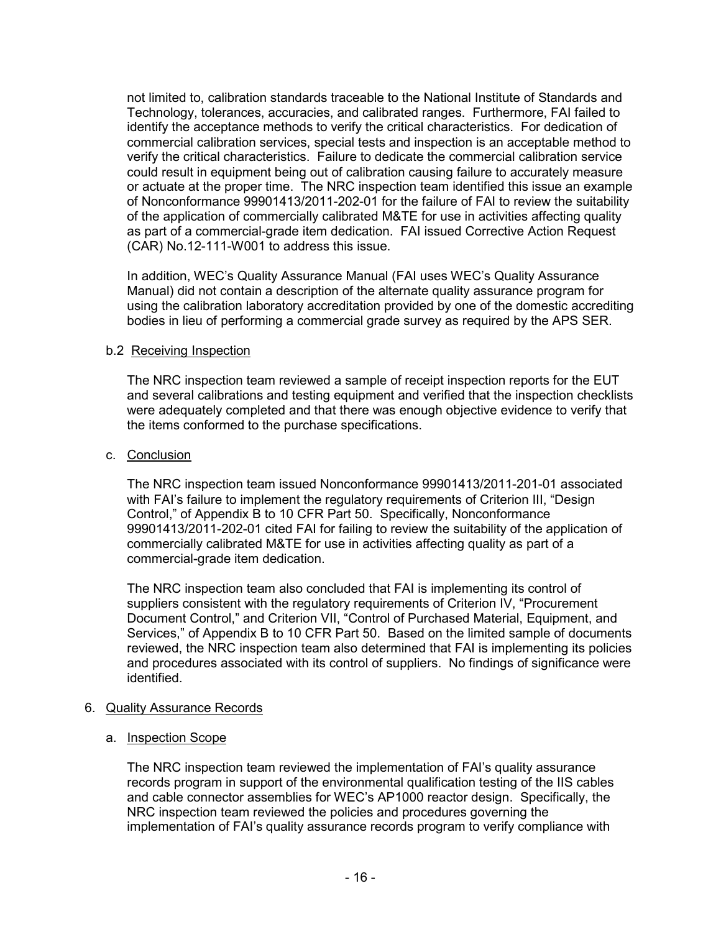not limited to, calibration standards traceable to the National Institute of Standards and Technology, tolerances, accuracies, and calibrated ranges. Furthermore, FAI failed to identify the acceptance methods to verify the critical characteristics. For dedication of commercial calibration services, special tests and inspection is an acceptable method to verify the critical characteristics. Failure to dedicate the commercial calibration service could result in equipment being out of calibration causing failure to accurately measure or actuate at the proper time. The NRC inspection team identified this issue an example of Nonconformance 99901413/2011-202-01 for the failure of FAI to review the suitability of the application of commercially calibrated M&TE for use in activities affecting quality as part of a commercial-grade item dedication. FAI issued Corrective Action Request (CAR) No.12-111-W001 to address this issue.

In addition, WEC's Quality Assurance Manual (FAI uses WEC's Quality Assurance Manual) did not contain a description of the alternate quality assurance program for using the calibration laboratory accreditation provided by one of the domestic accrediting bodies in lieu of performing a commercial grade survey as required by the APS SER.

### b.2 Receiving Inspection

The NRC inspection team reviewed a sample of receipt inspection reports for the EUT and several calibrations and testing equipment and verified that the inspection checklists were adequately completed and that there was enough objective evidence to verify that the items conformed to the purchase specifications.

### c. Conclusion

The NRC inspection team issued Nonconformance 99901413/2011-201-01 associated with FAI's failure to implement the regulatory requirements of Criterion III, "Design Control," of Appendix B to 10 CFR Part 50. Specifically, Nonconformance 99901413/2011-202-01 cited FAI for failing to review the suitability of the application of commercially calibrated M&TE for use in activities affecting quality as part of a commercial-grade item dedication.

The NRC inspection team also concluded that FAI is implementing its control of suppliers consistent with the regulatory requirements of Criterion IV, "Procurement Document Control," and Criterion VII, "Control of Purchased Material, Equipment, and Services," of Appendix B to 10 CFR Part 50. Based on the limited sample of documents reviewed, the NRC inspection team also determined that FAI is implementing its policies and procedures associated with its control of suppliers. No findings of significance were identified.

### 6. Quality Assurance Records

### a. Inspection Scope

The NRC inspection team reviewed the implementation of FAI's quality assurance records program in support of the environmental qualification testing of the IIS cables and cable connector assemblies for WEC's AP1000 reactor design. Specifically, the NRC inspection team reviewed the policies and procedures governing the implementation of FAI's quality assurance records program to verify compliance with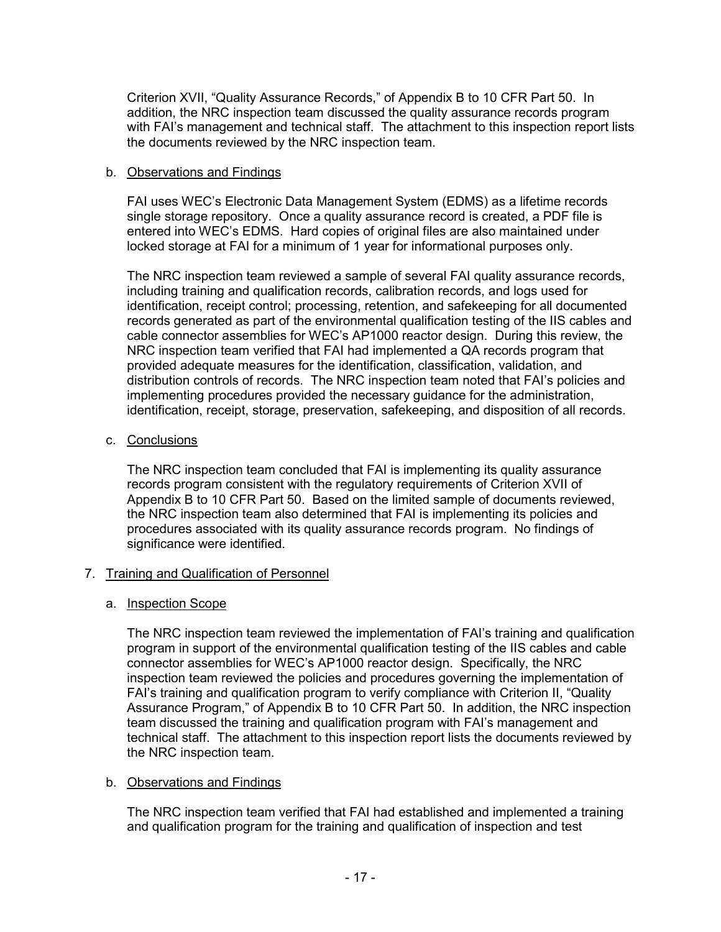Criterion XVII, "Quality Assurance Records," of Appendix B to 10 CFR Part 50. In addition, the NRC inspection team discussed the quality assurance records program with FAI's management and technical staff. The attachment to this inspection report lists the documents reviewed by the NRC inspection team.

### b. Observations and Findings

FAI uses WEC's Electronic Data Management System (EDMS) as a lifetime records single storage repository. Once a quality assurance record is created, a PDF file is entered into WEC's EDMS. Hard copies of original files are also maintained under locked storage at FAI for a minimum of 1 year for informational purposes only.

The NRC inspection team reviewed a sample of several FAI quality assurance records, including training and qualification records, calibration records, and logs used for identification, receipt control; processing, retention, and safekeeping for all documented records generated as part of the environmental qualification testing of the IIS cables and cable connector assemblies for WEC's AP1000 reactor design. During this review, the NRC inspection team verified that FAI had implemented a QA records program that provided adequate measures for the identification, classification, validation, and distribution controls of records. The NRC inspection team noted that FAI's policies and implementing procedures provided the necessary guidance for the administration, identification, receipt, storage, preservation, safekeeping, and disposition of all records.

### c. Conclusions

The NRC inspection team concluded that FAI is implementing its quality assurance records program consistent with the regulatory requirements of Criterion XVII of Appendix B to 10 CFR Part 50. Based on the limited sample of documents reviewed, the NRC inspection team also determined that FAI is implementing its policies and procedures associated with its quality assurance records program. No findings of significance were identified.

### 7. Training and Qualification of Personnel

### a. Inspection Scope

The NRC inspection team reviewed the implementation of FAI's training and qualification program in support of the environmental qualification testing of the IIS cables and cable connector assemblies for WEC's AP1000 reactor design. Specifically, the NRC inspection team reviewed the policies and procedures governing the implementation of FAI's training and qualification program to verify compliance with Criterion II, "Quality Assurance Program," of Appendix B to 10 CFR Part 50. In addition, the NRC inspection team discussed the training and qualification program with FAI's management and technical staff. The attachment to this inspection report lists the documents reviewed by the NRC inspection team.

### b. Observations and Findings

The NRC inspection team verified that FAI had established and implemented a training and qualification program for the training and qualification of inspection and test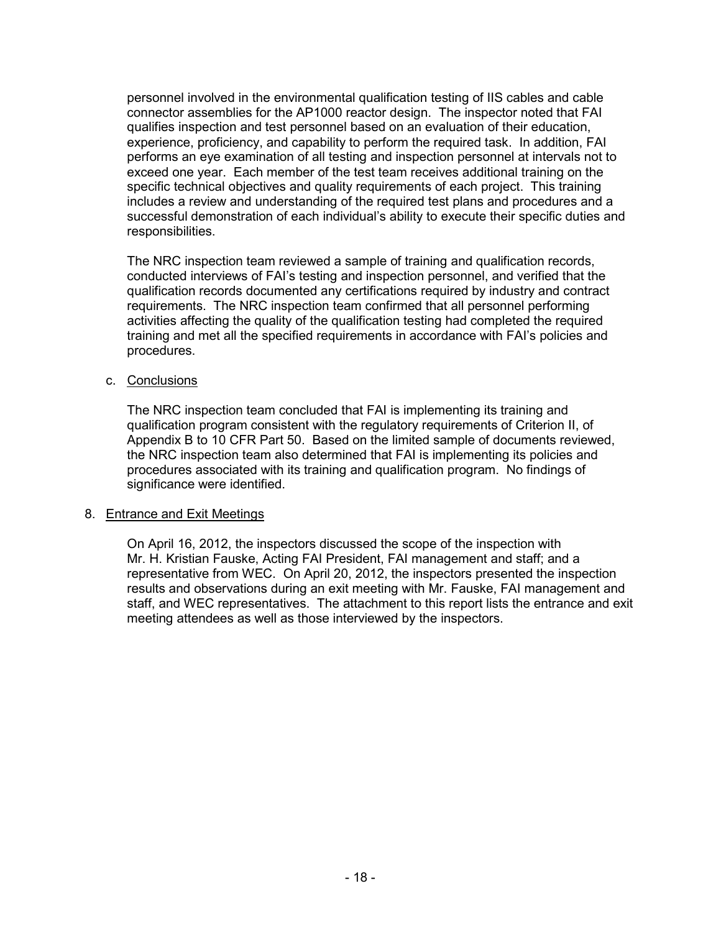personnel involved in the environmental qualification testing of IIS cables and cable connector assemblies for the AP1000 reactor design. The inspector noted that FAI qualifies inspection and test personnel based on an evaluation of their education, experience, proficiency, and capability to perform the required task. In addition, FAI performs an eye examination of all testing and inspection personnel at intervals not to exceed one year. Each member of the test team receives additional training on the specific technical objectives and quality requirements of each project. This training includes a review and understanding of the required test plans and procedures and a successful demonstration of each individual's ability to execute their specific duties and responsibilities.

The NRC inspection team reviewed a sample of training and qualification records, conducted interviews of FAI's testing and inspection personnel, and verified that the qualification records documented any certifications required by industry and contract requirements. The NRC inspection team confirmed that all personnel performing activities affecting the quality of the qualification testing had completed the required training and met all the specified requirements in accordance with FAI's policies and procedures.

### c. Conclusions

The NRC inspection team concluded that FAI is implementing its training and qualification program consistent with the regulatory requirements of Criterion II, of Appendix B to 10 CFR Part 50. Based on the limited sample of documents reviewed, the NRC inspection team also determined that FAI is implementing its policies and procedures associated with its training and qualification program. No findings of significance were identified.

#### 8. Entrance and Exit Meetings

On April 16, 2012, the inspectors discussed the scope of the inspection with Mr. H. Kristian Fauske, Acting FAI President, FAI management and staff; and a representative from WEC. On April 20, 2012, the inspectors presented the inspection results and observations during an exit meeting with Mr. Fauske, FAI management and staff, and WEC representatives. The attachment to this report lists the entrance and exit meeting attendees as well as those interviewed by the inspectors.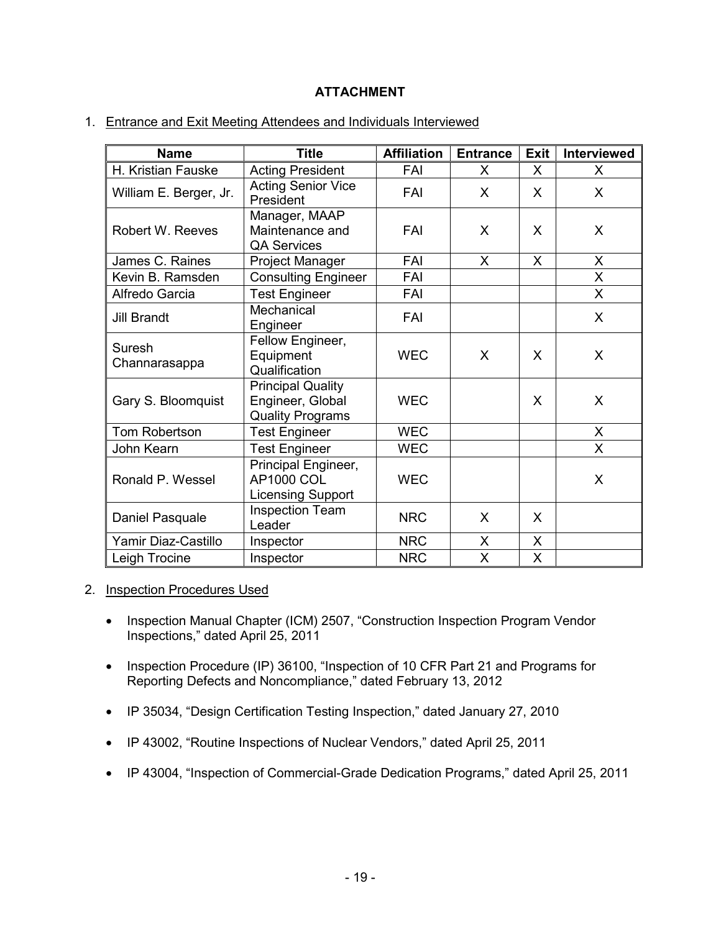# **ATTACHMENT**

| 1. Entrance and Exit Meeting Attendees and Individuals Interviewed |  |
|--------------------------------------------------------------------|--|
|                                                                    |  |

| <b>Name</b>             | <b>Title</b>                                                            | <b>Affiliation</b> | <b>Entrance</b> | <b>Exit</b> | <b>Interviewed</b> |
|-------------------------|-------------------------------------------------------------------------|--------------------|-----------------|-------------|--------------------|
| H. Kristian Fauske      | <b>Acting President</b>                                                 | FAI                | X               | X           | X                  |
| William E. Berger, Jr.  | <b>Acting Senior Vice</b><br>President                                  | FAI                | X               | X           | X                  |
| Robert W. Reeves        | Manager, MAAP<br>Maintenance and<br><b>QA Services</b>                  | FAI                | X               | X           | X                  |
| James C. Raines         | Project Manager                                                         | FAI                | X               | X           | X                  |
| Kevin B. Ramsden        | <b>Consulting Engineer</b>                                              | FAI                |                 |             | X                  |
| Alfredo Garcia          | <b>Test Engineer</b>                                                    | FAI                |                 |             | X                  |
| <b>Jill Brandt</b>      | Mechanical<br>Engineer                                                  | FAI                |                 |             | X                  |
| Suresh<br>Channarasappa | Fellow Engineer,<br>Equipment<br>Qualification                          | <b>WEC</b>         | X               | X           | X                  |
| Gary S. Bloomquist      | <b>Principal Quality</b><br>Engineer, Global<br><b>Quality Programs</b> | <b>WEC</b>         |                 | X           | X                  |
| Tom Robertson           | <b>Test Engineer</b>                                                    | <b>WEC</b>         |                 |             | X                  |
| John Kearn              | <b>Test Engineer</b>                                                    | <b>WEC</b>         |                 |             | X                  |
| Ronald P. Wessel        | Principal Engineer,<br><b>AP1000 COL</b><br><b>Licensing Support</b>    | <b>WEC</b>         |                 |             | X                  |
| Daniel Pasquale         | <b>Inspection Team</b><br>Leader                                        | <b>NRC</b>         | X               | X           |                    |
| Yamir Diaz-Castillo     | Inspector                                                               | <b>NRC</b>         | X               | X           |                    |
| Leigh Trocine           | Inspector                                                               | <b>NRC</b>         | X               | X           |                    |

#### 2. Inspection Procedures Used

- Inspection Manual Chapter (ICM) 2507, "Construction Inspection Program Vendor Inspections," dated April 25, 2011
- Inspection Procedure (IP) 36100, "Inspection of 10 CFR Part 21 and Programs for Reporting Defects and Noncompliance," dated February 13, 2012
- IP 35034, "Design Certification Testing Inspection," dated January 27, 2010
- IP 43002, "Routine Inspections of Nuclear Vendors," dated April 25, 2011
- IP 43004, "Inspection of Commercial-Grade Dedication Programs," dated April 25, 2011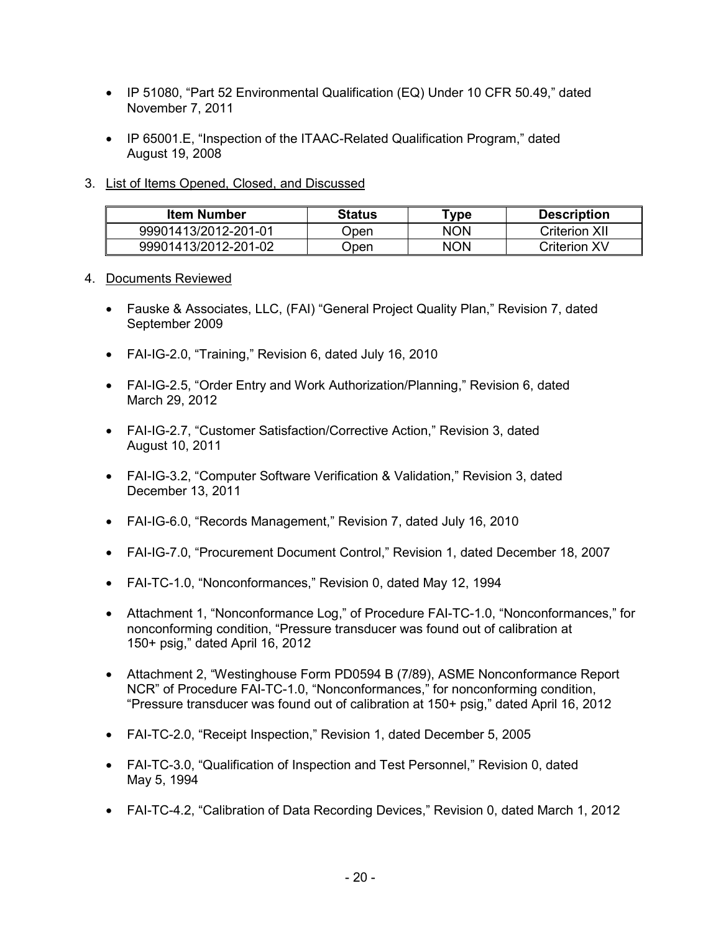- IP 51080, "Part 52 Environmental Qualification (EQ) Under 10 CFR 50.49," dated November 7, 2011
- IP 65001.E, "Inspection of the ITAAC-Related Qualification Program," dated August 19, 2008
- 3. List of Items Opened, Closed, and Discussed

| Item Number          | <b>Status</b> | ™ype | <b>Description</b>   |
|----------------------|---------------|------|----------------------|
| 99901413/2012-201-01 | )pen          | NON  | <b>Criterion XII</b> |
| 99901413/2012-201-02 | )pen          | NON  | <b>Criterion XV</b>  |

- 4. Documents Reviewed
	- Fauske & Associates, LLC, (FAI) "General Project Quality Plan," Revision 7, dated September 2009
	- FAI-IG-2.0, "Training," Revision 6, dated July 16, 2010
	- FAI-IG-2.5, "Order Entry and Work Authorization/Planning," Revision 6, dated March 29, 2012
	- FAI-IG-2.7, "Customer Satisfaction/Corrective Action," Revision 3, dated August 10, 2011
	- FAI-IG-3.2, "Computer Software Verification & Validation," Revision 3, dated December 13, 2011
	- FAI-IG-6.0, "Records Management," Revision 7, dated July 16, 2010
	- FAI-IG-7.0, "Procurement Document Control," Revision 1, dated December 18, 2007
	- FAI-TC-1.0, "Nonconformances," Revision 0, dated May 12, 1994
	- Attachment 1, "Nonconformance Log," of Procedure FAI-TC-1.0, "Nonconformances," for nonconforming condition, "Pressure transducer was found out of calibration at 150+ psig," dated April 16, 2012
	- Attachment 2, "Westinghouse Form PD0594 B (7/89), ASME Nonconformance Report NCR" of Procedure FAI-TC-1.0, "Nonconformances," for nonconforming condition, "Pressure transducer was found out of calibration at 150+ psig," dated April 16, 2012
	- FAI-TC-2.0, "Receipt Inspection," Revision 1, dated December 5, 2005
	- FAI-TC-3.0, "Qualification of Inspection and Test Personnel," Revision 0, dated May 5, 1994
	- FAI-TC-4.2, "Calibration of Data Recording Devices," Revision 0, dated March 1, 2012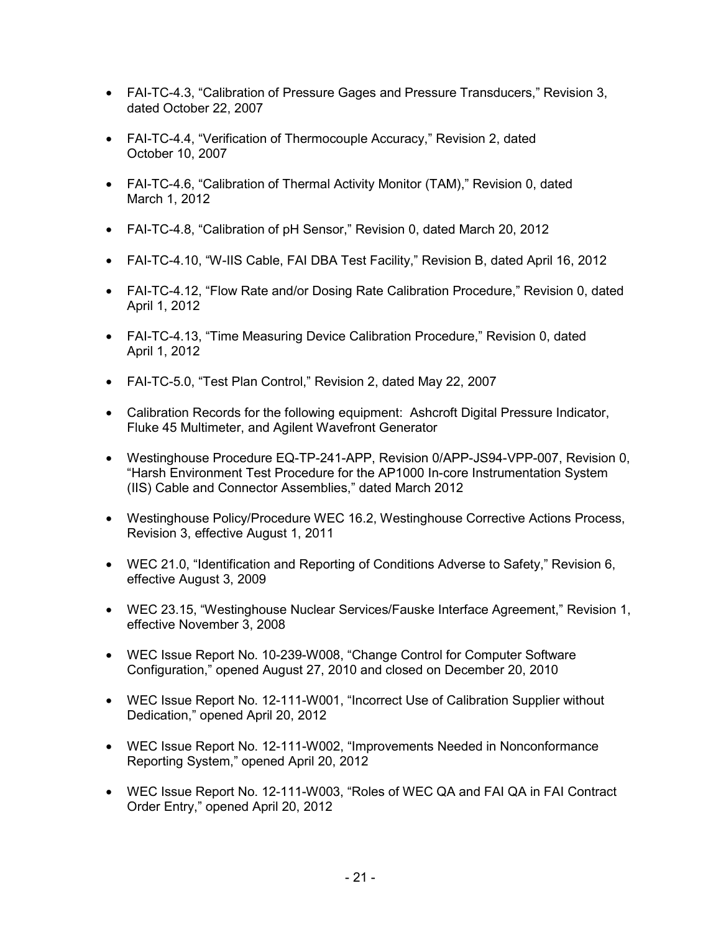- FAI-TC-4.3, "Calibration of Pressure Gages and Pressure Transducers," Revision 3, dated October 22, 2007
- FAI-TC-4.4, "Verification of Thermocouple Accuracy," Revision 2, dated October 10, 2007
- FAI-TC-4.6, "Calibration of Thermal Activity Monitor (TAM)," Revision 0, dated March 1, 2012
- FAI-TC-4.8, "Calibration of pH Sensor," Revision 0, dated March 20, 2012
- FAI-TC-4.10, "W-IIS Cable, FAI DBA Test Facility," Revision B, dated April 16, 2012
- FAI-TC-4.12, "Flow Rate and/or Dosing Rate Calibration Procedure," Revision 0, dated April 1, 2012
- FAI-TC-4.13, "Time Measuring Device Calibration Procedure," Revision 0, dated April 1, 2012
- FAI-TC-5.0, "Test Plan Control," Revision 2, dated May 22, 2007
- Calibration Records for the following equipment: Ashcroft Digital Pressure Indicator, Fluke 45 Multimeter, and Agilent Wavefront Generator
- Westinghouse Procedure EQ-TP-241-APP, Revision 0/APP-JS94-VPP-007, Revision 0, "Harsh Environment Test Procedure for the AP1000 In-core Instrumentation System (IIS) Cable and Connector Assemblies," dated March 2012
- Westinghouse Policy/Procedure WEC 16.2, Westinghouse Corrective Actions Process, Revision 3, effective August 1, 2011
- WEC 21.0, "Identification and Reporting of Conditions Adverse to Safety," Revision 6, effective August 3, 2009
- WEC 23.15, "Westinghouse Nuclear Services/Fauske Interface Agreement," Revision 1, effective November 3, 2008
- WEC Issue Report No. 10-239-W008, "Change Control for Computer Software Configuration," opened August 27, 2010 and closed on December 20, 2010
- WEC Issue Report No. 12-111-W001, "Incorrect Use of Calibration Supplier without Dedication," opened April 20, 2012
- WEC Issue Report No. 12-111-W002, "Improvements Needed in Nonconformance Reporting System," opened April 20, 2012
- WEC Issue Report No. 12-111-W003, "Roles of WEC QA and FAI QA in FAI Contract Order Entry," opened April 20, 2012